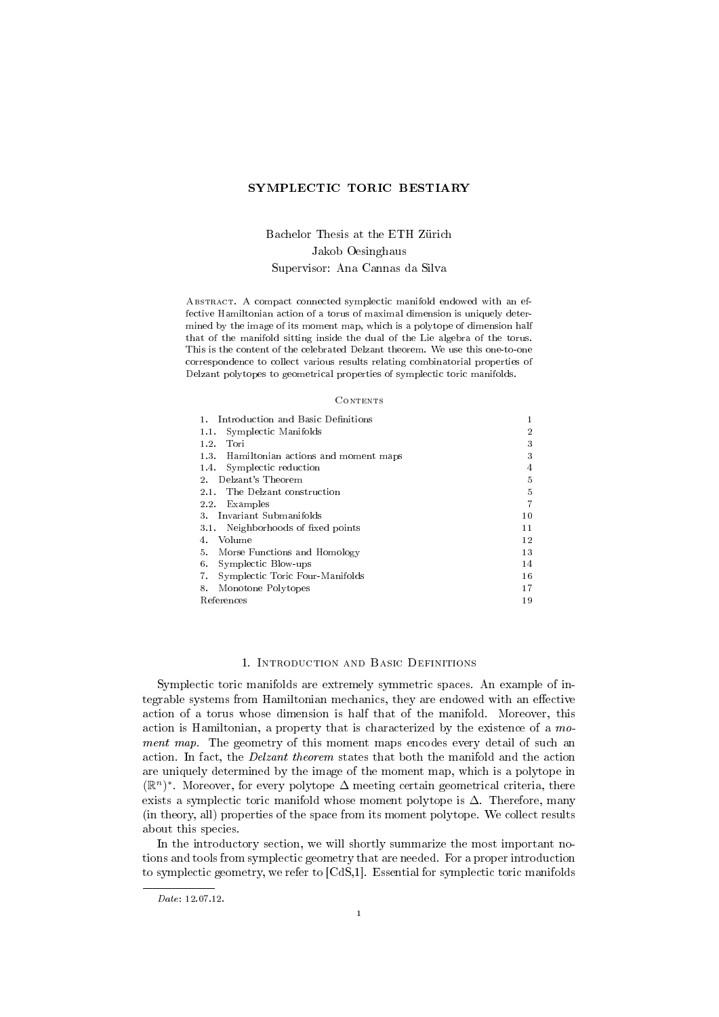### SYMPLECTIC TORIC BESTIARY

# Bachelor Thesis at the ETH Zürich Jakob Oesinghaus Supervisor: Ana Cannas da Silva

Abstract. A compact connected symplectic manifold endowed with an effective Hamiltonian action of a torus of maximal dimension is uniquely determined by the image of its moment map, which is a polytope of dimension half that of the manifold sitting inside the dual of the Lie algebra of the torus. This is the content of the celebrated Delzant theorem. We use this one-to-one correspondence to collect various results relating combinatorial properties of Delzant polytopes to geometrical properties of symplectic toric manifolds.

#### **CONTENTS**

| Introduction and Basic Definitions<br>1.    |                |
|---------------------------------------------|----------------|
| Symplectic Manifolds<br>1.1.                | $\overline{2}$ |
| 1.2.<br>Tori                                | 3              |
| Hamiltonian actions and moment maps<br>1.3. | 3              |
| Symplectic reduction<br>1.4                 | 4              |
| Delzant's Theorem<br>2.                     | 5              |
| The Delzant construction<br>21.             | 5              |
| 2.2.<br>Examples                            | 7              |
| Invariant Submanifolds<br>3.                | 10             |
| Neighborhoods of fixed points<br>3.1.       | 11             |
| Volume<br>4.                                | 12             |
| 5.<br>Morse Functions and Homology          | 13             |
| Symplectic Blow-ups<br>6.                   | 14             |
| Symplectic Toric Four-Manifolds<br>7.       | 16             |
| 8.<br>Monotone Polytopes                    | 17             |
| References                                  | 19             |

#### 1. Introduction and Basic Definitions

Symplectic toric manifolds are extremely symmetric spaces. An example of integrable systems from Hamiltonian mechanics, they are endowed with an effective action of a torus whose dimension is half that of the manifold. Moreover, this action is Hamiltonian, a property that is characterized by the existence of a moment map. The geometry of this moment maps encodes every detail of such an action. In fact, the Delzant theorem states that both the manifold and the action are uniquely determined by the image of the moment map, which is a polytope in  $(\mathbb{R}^n)^*$ . Moreover, for every polytope  $\Delta$  meeting certain geometrical criteria, there exists a symplectic toric manifold whose moment polytope is ∆. Therefore, many (in theory, all) properties of the space from its moment polytope. We collect results about this species.

In the introductory section, we will shortly summarize the most important notions and tools from symplectic geometry that are needed. For a proper introduction to symplectic geometry, we refer to [CdS,1]. Essential for symplectic toric manifolds

Date: 12.07.12.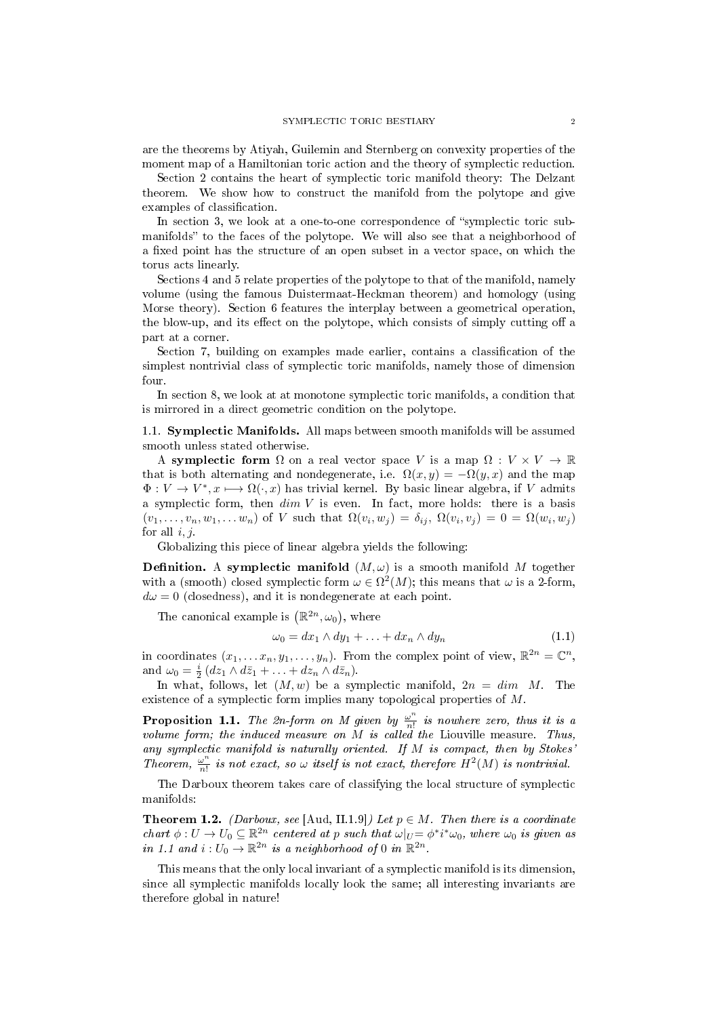are the theorems by Atiyah, Guilemin and Sternberg on convexity properties of the moment map of a Hamiltonian toric action and the theory of symplectic reduction.

Section 2 contains the heart of symplectic toric manifold theory: The Delzant theorem. We show how to construct the manifold from the polytope and give examples of classification.

In section 3, we look at a one-to-one correspondence of "symplectic toric submanifolds" to the faces of the polytope. We will also see that a neighborhood of a fixed point has the structure of an open subset in a vector space, on which the torus acts linearly.

Sections 4 and 5 relate properties of the polytope to that of the manifold, namely volume (using the famous Duistermaat-Heckman theorem) and homology (using Morse theory). Section 6 features the interplay between a geometrical operation, the blow-up, and its effect on the polytope, which consists of simply cutting off a part at a corner.

Section 7, building on examples made earlier, contains a classification of the simplest nontrivial class of symplectic toric manifolds, namely those of dimension four.

In section 8, we look at at monotone symplectic toric manifolds, a condition that is mirrored in a direct geometric condition on the polytope.

1.1. Symplectic Manifolds. All maps between smooth manifolds will be assumed smooth unless stated otherwise.

A symplectic form  $\Omega$  on a real vector space V is a map  $\Omega: V \times V \to \mathbb{R}$ that is both alternating and nondegenerate, i.e.  $\Omega(x, y) = -\Omega(y, x)$  and the map  $\Phi: V \to V^*, x \longmapsto \Omega(\cdot, x)$  has trivial kernel. By basic linear algebra, if V admits a symplectic form, then  $dim V$  is even. In fact, more holds: there is a basis  $(v_1,\ldots,v_n,w_1,\ldots w_n)$  of V such that  $\Omega(v_i,w_j)=\delta_{ij},\ \Omega(v_i,v_j)=0=\Omega(w_i,w_j)$ for all  $i, j$ .

Globalizing this piece of linear algebra yields the following:

**Definition.** A symplectic manifold  $(M,\omega)$  is a smooth manifold M together with a (smooth) closed symplectic form  $\omega \in \Omega^2(M)$ ; this means that  $\omega$  is a 2-form,  $d\omega = 0$  (closedness), and it is nondegenerate at each point.

The canonical example is  $(\mathbb{R}^{2n}, \omega_0)$ , where

$$
\omega_0 = dx_1 \wedge dy_1 + \ldots + dx_n \wedge dy_n \tag{1.1}
$$

in coordinates  $(x_1, \ldots, x_n, y_1, \ldots, y_n)$ . From the complex point of view,  $\mathbb{R}^{2n} = \mathbb{C}^n$ , and  $\omega_0 = \frac{i}{2} (dz_1 \wedge d\overline{z}_1 + \ldots + dz_n \wedge d\overline{z}_n).$ 

In what, follows, let  $(M, w)$  be a symplectic manifold,  $2n = dim M$ . The existence of a symplectic form implies many topological properties of M.

**Proposition 1.1.** The 2n-form on M given by  $\frac{\omega^n}{n!}$  $\frac{\omega^n}{n!}$  is nowhere zero, thus it is a volume form; the induced measure on M is called the Liouville measure. Thus, any symplectic manifold is naturally oriented. If  $M$  is compact, then by Stokes Theorem,  $\frac{\omega^n}{n!}$  $\frac{\omega^n}{n!}$  is not exact, so  $\omega$  itself is not exact, therefore  $H^2(M)$  is nontrivial.

The Darboux theorem takes care of classifying the local structure of symplectic manifolds:

**Theorem 1.2.** (Darboux, see [Aud, II.1.9]) Let  $p \in M$ . Then there is a coordinate chart  $\phi: U \to U_0 \subseteq \mathbb{R}^{2n}$  centered at p such that  $\omega|_U = \phi^* i^* \omega_0$ , where  $\omega_0$  is given as in 1.1 and  $i:U_0\to\mathbb{R}^{2n}$  is a neighborhood of 0 in  $\mathbb{R}^{2n}$ .

This means that the only local invariant of a symplectic manifold is its dimension, since all symplectic manifolds locally look the same; all interesting invariants are therefore global in nature!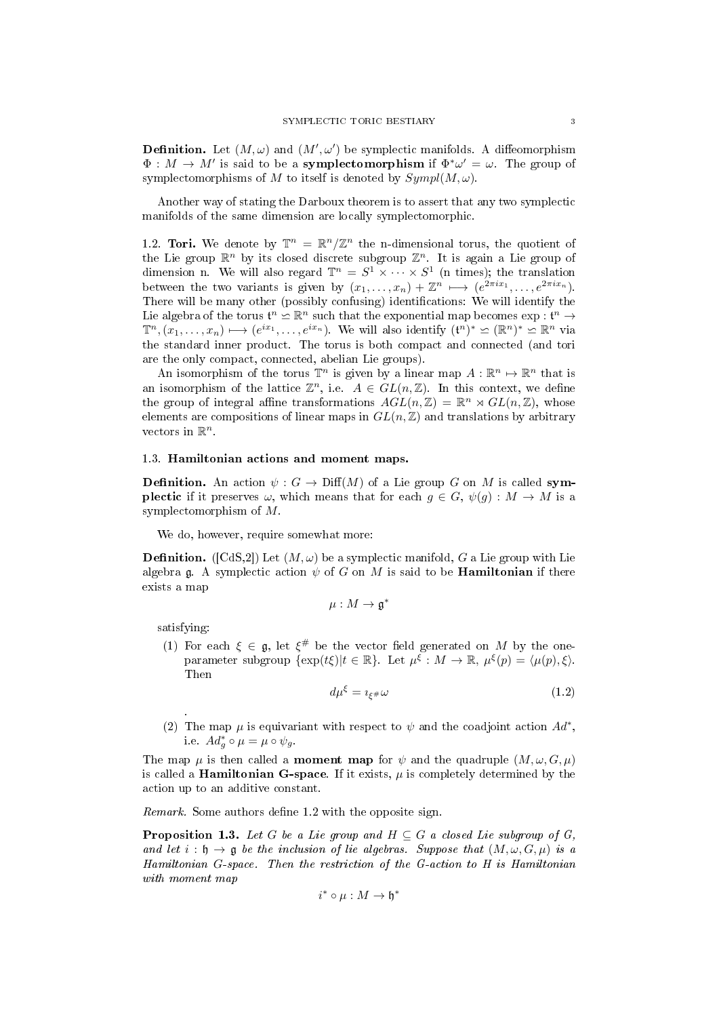**Definition.** Let  $(M, \omega)$  and  $(M', \omega')$  be symplectic manifolds. A diffeomorphism  $\Phi: M \to M'$  is said to be a **symplectomorphism** if  $\Phi^* \omega' = \omega$ . The group of symplectomorphisms of M to itself is denoted by  $Sympl(M, \omega)$ .

Another way of stating the Darboux theorem is to assert that any two symplectic manifolds of the same dimension are locally symplectomorphic.

1.2. Tori. We denote by  $\mathbb{T}^n = \mathbb{R}^n/\mathbb{Z}^n$  the n-dimensional torus, the quotient of the Lie group  $\mathbb{R}^n$  by its closed discrete subgroup  $\mathbb{Z}^n$ . It is again a Lie group of dimension n. We will also regard  $\mathbb{T}^n = S^1 \times \cdots \times S^1$  (n times); the translation between the two variants is given by  $(x_1, \ldots, x_n) + \mathbb{Z}^n \mapsto (e^{2\pi i x_1}, \ldots, e^{2\pi i x_n}).$ There will be many other (possibly confusing) identifications: We will identify the Lie algebra of the torus  $\mathfrak{t}^n \simeq \mathbb{R}^n$  such that the exponential map becomes  $\exp : \mathfrak{t}^n \to$  $\mathbb{T}^n, (\overline{x_1}, \ldots, x_n) \mapsto (e^{ix_1}, \ldots, e^{ix_n}).$  We will also identify  $(\mathfrak{t}^n)^* \simeq (\mathbb{R}^n)^* \simeq \mathbb{R}^n$  via the standard inner product. The torus is both compact and connected (and tori are the only compact, connected, abelian Lie groups).

An isomorphism of the torus  $\mathbb{T}^n$  is given by a linear map  $A: \mathbb{R}^n \mapsto \mathbb{R}^n$  that is an isomorphism of the lattice  $\mathbb{Z}^n$ , i.e.  $A \in GL(n,\mathbb{Z})$ . In this context, we define the group of integral affine transformations  $AGL(n, \mathbb{Z}) = \mathbb{R}^n \rtimes GL(n, \mathbb{Z})$ , whose elements are compositions of linear maps in  $GL(n, \mathbb{Z})$  and translations by arbitrary vectors in  $\mathbb{R}^n$ .

### 1.3. Hamiltonian actions and moment maps.

**Definition.** An action  $\psi : G \to \text{Diff}(M)$  of a Lie group G on M is called symplectic if it preserves  $\omega$ , which means that for each  $g \in G$ ,  $\psi(g) : M \to M$  is a symplectomorphism of M.

We do, however, require somewhat more:

**Definition.** ([CdS,2]) Let  $(M, \omega)$  be a symplectic manifold, G a Lie group with Lie algebra g. A symplectic action  $\psi$  of G on M is said to be **Hamiltonian** if there exists a map

$$
\mu: M \to \mathfrak{g}^*
$$

satisfying:

.

(1) For each  $\xi \in \mathfrak{g}$ , let  $\xi^{\#}$  be the vector field generated on M by the oneparameter subgroup  $\{\exp(t\xi)|t \in \mathbb{R}\}.$  Let  $\mu^{\xi}: M \to \mathbb{R}, \mu^{\xi}(p) = \langle \mu(p), \xi \rangle.$ Then

$$
d\mu^{\xi} = i_{\xi^{\#}}\omega \tag{1.2}
$$

(2) The map  $\mu$  is equivariant with respect to  $\psi$  and the coadjoint action  $Ad^*$ , i.e.  $Ad_g^* \circ \mu = \mu \circ \psi_g$ .

The map  $\mu$  is then called a **moment map** for  $\psi$  and the quadruple  $(M, \omega, G, \mu)$ is called a **Hamiltonian G-space**. If it exists,  $\mu$  is completely determined by the action up to an additive constant.

Remark. Some authors define 1.2 with the opposite sign.

**Proposition 1.3.** Let G be a Lie group and  $H \subseteq G$  a closed Lie subgroup of G, and let  $i : \mathfrak{h} \to \mathfrak{g}$  be the inclusion of lie algebras. Suppose that  $(M, \omega, G, \mu)$  is a Hamiltonian G-space. Then the restriction of the G-action to H is Hamiltonian with moment map

$$
i^* \circ \mu : M \to \mathfrak{h}^*
$$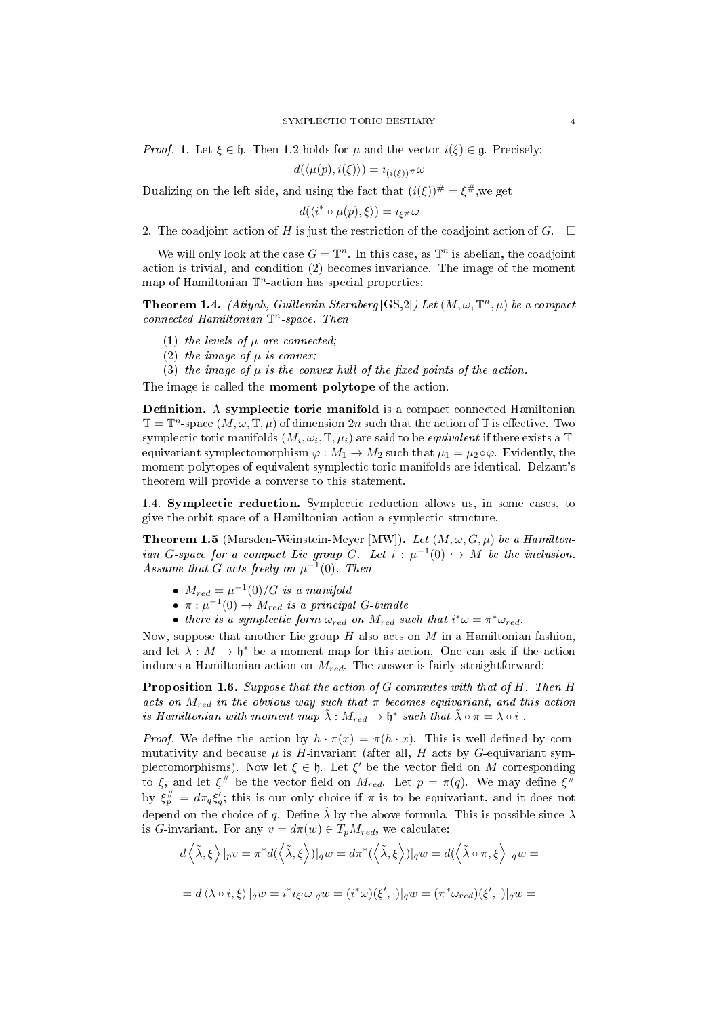*Proof.* 1. Let  $\xi \in \mathfrak{h}$ . Then 1.2 holds for  $\mu$  and the vector  $i(\xi) \in \mathfrak{g}$ . Precisely:

$$
d(\langle \mu(p), i(\xi) \rangle) = i_{(i(\xi))^{\#}} \omega
$$

Dualizing on the left side, and using the fact that  $(i(\xi))^{\#} = \xi^{\#}$ , we get

 $d(\langle i^* \circ \mu(p), \xi \rangle) = i_{\xi^*} \omega$ 

2. The coadjoint action of H is just the restriction of the coadjoint action of  $G$ .  $\Box$ 

We will only look at the case  $G = \mathbb{T}^n$ . In this case, as  $\mathbb{T}^n$  is abelian, the coadjoint action is trivial, and condition (2) becomes invariance. The image of the moment map of Hamiltonian  $\mathbb{T}^n$ -action has special properties:

**Theorem 1.4.** (Atiyah, Guillemin-Sternberg  $[GS,2]$ ) Let  $(M, \omega, \mathbb{T}^n, \mu)$  be a compact connected Hamiltonian  $\mathbb{T}^n$ -space. Then

- (1) the levels of  $\mu$  are connected;
- (2) the image of  $\mu$  is convex;
- (3) the image of  $\mu$  is the convex hull of the fixed points of the action.

The image is called the moment polytope of the action.

Definition. A symplectic toric manifold is a compact connected Hamiltonian  $\mathbb{T} = \mathbb{T}^n$ -space  $(M, \omega, \mathbb{T}, \mu)$  of dimension  $2n$  such that the action of  $\mathbb{T}$  is effective. Two symplectic toric manifolds  $(M_i, \omega_i, \mathbb{T}, \mu_i)$  are said to be *equivalent* if there exists a  $\mathbb{T}$ equivariant symplectomorphism  $\varphi : M_1 \to M_2$  such that  $\mu_1 = \mu_2 \circ \varphi$ . Evidently, the moment polytopes of equivalent symplectic toric manifolds are identical. Delzant's theorem will provide a converse to this statement.

1.4. Symplectic reduction. Symplectic reduction allows us, in some cases, to give the orbit space of a Hamiltonian action a symplectic structure.

**Theorem 1.5** (Marsden-Weinstein-Meyer [MW]). Let  $(M, \omega, G, \mu)$  be a Hamiltonian G-space for a compact Lie group G. Let  $i : \mu^{-1}(0) \hookrightarrow M$  be the inclusion. Assume that G acts freely on  $\mu^{-1}(0)$ . Then

- $M_{red} = \mu^{-1}(0)/G$  is a manifold
- $\pi : \mu^{-1}(0) \to M_{red}$  is a principal G-bundle
- there is a symplectic form  $\omega_{red}$  on  $M_{red}$  such that  $i^*\omega = \pi^*\omega_{red}$ .

Now, suppose that another Lie group  $H$  also acts on  $M$  in a Hamiltonian fashion, and let  $\lambda : M \to \mathfrak{h}^*$  be a moment map for this action. One can ask if the action induces a Hamiltonian action on  $M_{red}$ . The answer is fairly straightforward:

Proposition 1.6. Suppose that the action of G commutes with that of H. Then H acts on  $M_{red}$  in the obvious way such that  $\pi$  becomes equivariant, and this action is Hamiltonian with moment map  $\tilde{\lambda}: M_{red} \to \mathfrak{h}^*$  such that  $\tilde{\lambda} \circ \pi = \lambda \circ i$ .

*Proof.* We define the action by  $h \cdot \pi(x) = \pi(h \cdot x)$ . This is well-defined by commutativity and because  $\mu$  is H-invariant (after all, H acts by G-equivariant symplectomorphisms). Now let  $\xi \in \mathfrak{h}$ . Let  $\xi'$  be the vector field on M corresponding to ξ, and let  $\xi^{\#}$  be the vector field on  $M_{red}$ . Let  $p = \pi(q)$ . We may define  $\xi^{\#}$ by  $\xi_p^{\#} = d\pi_q \xi_q'$ ; this is our only choice if  $\pi$  is to be equivariant, and it does not depend on the choice of q. Define  $\tilde{\lambda}$  by the above formula. This is possible since  $\lambda$ is G-invariant. For any  $v = d\pi(w) \in T_p M_{red}$ , we calculate:

$$
d\left\langle \tilde{\lambda},\xi\right\rangle |_{p}v = \pi^{*}d(\left\langle \tilde{\lambda},\xi\right\rangle)|_{q}w = d\pi^{*}(\left\langle \tilde{\lambda},\xi\right\rangle)|_{q}w = d(\left\langle \tilde{\lambda}\circ\pi,\xi\right\rangle)|_{q}w =
$$
  

$$
= d\left\langle \lambda\circ i,\xi\right\rangle |_{q}w = i^{*}{}_{\xi'}\omega|_{q}w = (i^{*}\omega)(\xi',\cdot)|_{q}w = (\pi^{*}\omega_{red})(\xi',\cdot)|_{q}w =
$$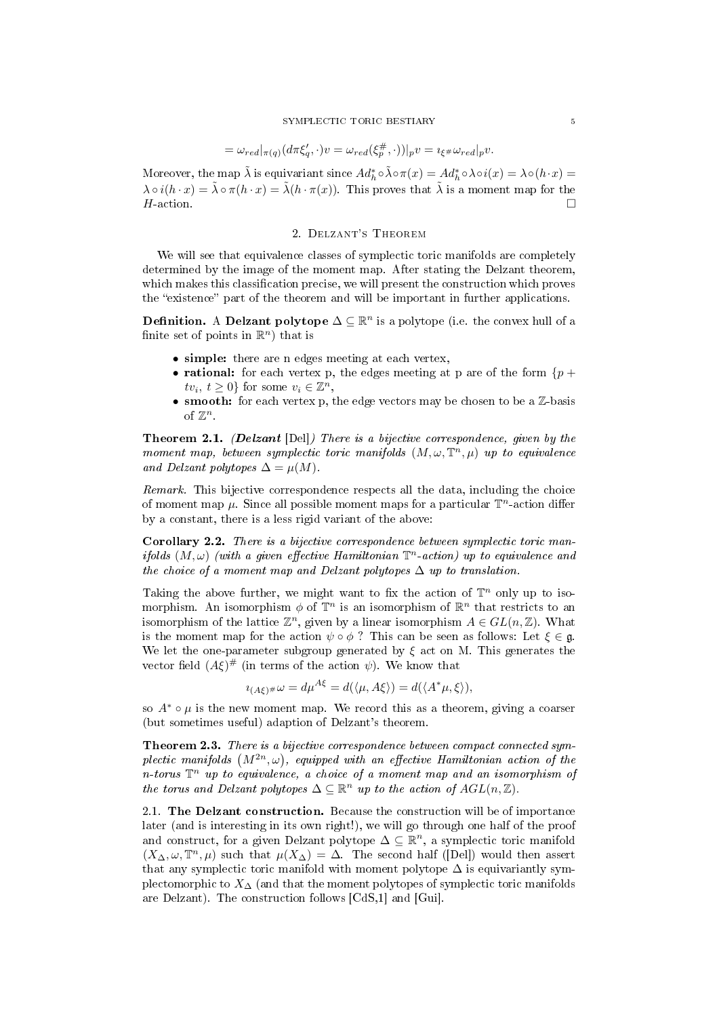$$
= \omega_{red}|_{\pi(q)} (d\pi \xi_q', \cdot)v = \omega_{red}(\xi_p^{\#}, \cdot))|_{p} v = i_{\xi^{\#}} \omega_{red}|_{p} v.
$$

Moreover, the map  $\tilde{\lambda}$  is equivariant since  $Ad_h^* \circ \tilde{\lambda} \circ \pi(x) = Ad_h^* \circ \lambda \circ i(x) = \lambda \circ (h \cdot x) =$  $\lambda \circ i(h \cdot x) = \tilde{\lambda} \circ \pi(h \cdot x) = \tilde{\lambda}(h \cdot \pi(x))$ . This proves that  $\tilde{\lambda}$  is a moment map for the  $H$ -action.

#### 2. Delzant's Theorem

We will see that equivalence classes of symplectic toric manifolds are completely determined by the image of the moment map. After stating the Delzant theorem, which makes this classification precise, we will present the construction which proves the "existence" part of the theorem and will be important in further applications.

**Definition.** A Delzant polytope  $\Delta \subseteq \mathbb{R}^n$  is a polytope (i.e. the convex hull of a finite set of points in  $\mathbb{R}^n$  that is

- simple: there are n edges meeting at each vertex,
- rational: for each vertex p, the edges meeting at p are of the form  $\{p + \}$  $tv_i, t \geq 0$ } for some  $v_i \in \mathbb{Z}^n$ ,
- smooth: for each vertex p, the edge vectors may be chosen to be a  $\mathbb{Z}$ -basis of  $\mathbb{Z}^n$ .

Theorem 2.1. (Delzant [Del]) There is a bijective correspondence, given by the moment map, between symplectic toric manifolds  $(M, \omega, \mathbb{T}^n, \mu)$  up to equivalence and Delzant polytopes  $\Delta = \mu(M)$ .

Remark. This bijective correspondence respects all the data, including the choice of moment map  $\mu$ . Since all possible moment maps for a particular  $\mathbb{T}^n$ -action differ by a constant, there is a less rigid variant of the above:

Corollary 2.2. There is a bijective correspondence between symplectic toric manifolds  $(M, \omega)$  (with a given effective Hamiltonian  $\mathbb{T}^n$ -action) up to equivalence and the choice of a moment map and Delzant polytopes  $\Delta$  up to translation.

Taking the above further, we might want to fix the action of  $\mathbb{T}^n$  only up to isomorphism. An isomorphism  $\phi$  of  $\mathbb{T}^n$  is an isomorphism of  $\mathbb{R}^n$  that restricts to an isomorphism of the lattice  $\mathbb{Z}^n$ , given by a linear isomorphism  $A \in GL(n, \mathbb{Z})$ . What is the moment map for the action  $\psi \circ \phi$ ? This can be seen as follows: Let  $\xi \in \mathfrak{g}$ . We let the one-parameter subgroup generated by  $\xi$  act on M. This generates the vector field  $(A\xi)$ <sup>#</sup> (in terms of the action  $\psi$ ). We know that

$$
i_{(A\xi)^{\#}}\omega = d\mu^{A\xi} = d(\langle \mu, A\xi \rangle) = d(\langle A^*\mu, \xi \rangle),
$$

so  $A^* \circ \mu$  is the new moment map. We record this as a theorem, giving a coarser (but sometimes useful) adaption of Delzant's theorem.

Theorem 2.3. There is a bijective correspondence between compact connected symplectic manifolds  $(M^{2n}, \omega)$ , equipped with an effective Hamiltonian action of the n-torus  $\mathbb{T}^n$  up to equivalence, a choice of a moment map and an isomorphism of the torus and Delzant polytopes  $\Delta \subseteq \mathbb{R}^n$  up to the action of  $AGL(n, \mathbb{Z})$ .

2.1. The Delzant construction. Because the construction will be of importance later (and is interesting in its own right!), we will go through one half of the proof and construct, for a given Delzant polytope  $\Delta \subseteq \mathbb{R}^n$ , a symplectic toric manifold  $(X_\Delta, \omega, \mathbb{T}^n, \mu)$  such that  $\mu(X_\Delta) = \Delta$ . The second half ([Del]) would then assert that any symplectic toric manifold with moment polytope  $\Delta$  is equivariantly symplectomorphic to  $X_{\Delta}$  (and that the moment polytopes of symplectic toric manifolds are Delzant). The construction follows [CdS,1] and [Gui].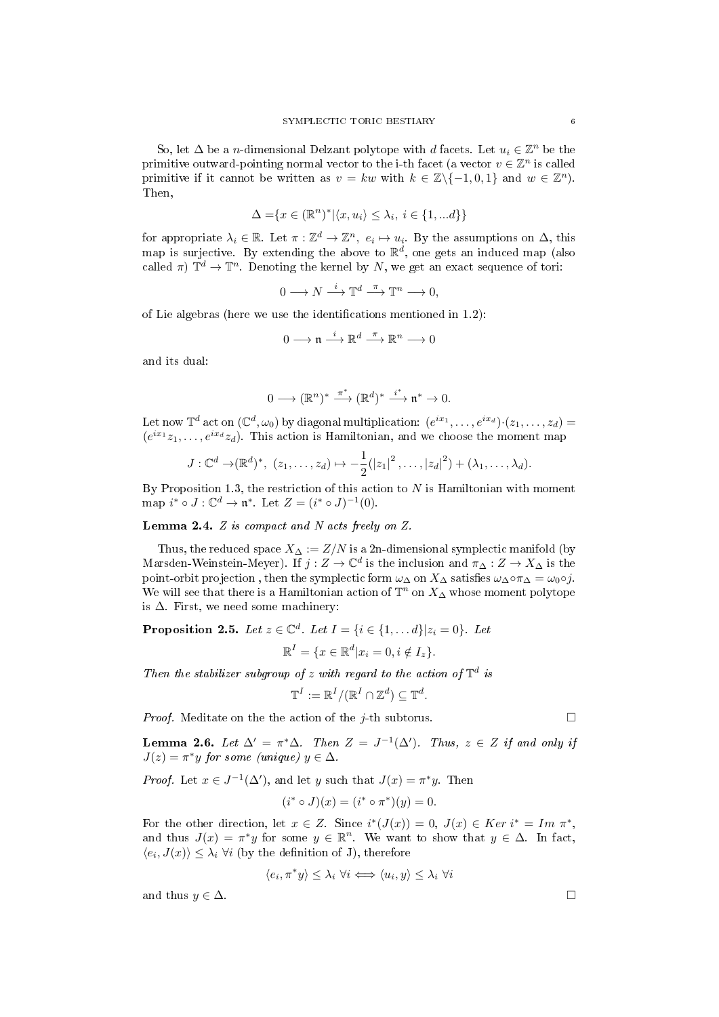So, let  $\Delta$  be a *n*-dimensional Delzant polytope with *d* facets. Let  $u_i \in \mathbb{Z}^n$  be the primitive outward-pointing normal vector to the i-th facet (a vector  $v \in \mathbb{Z}^n$  is called primitive if it cannot be written as  $v = kw$  with  $k \in \mathbb{Z} \setminus \{-1, 0, 1\}$  and  $w \in \mathbb{Z}^n$ . Then,

$$
\Delta = \{ x \in (\mathbb{R}^n)^* | \langle x, u_i \rangle \le \lambda_i, i \in \{1, ...d\} \}
$$

for appropriate  $\lambda_i \in \mathbb{R}$ . Let  $\pi: \mathbb{Z}^d \to \mathbb{Z}^n$ ,  $e_i \mapsto u_i$ . By the assumptions on  $\Delta$ , this map is surjective. By extending the above to  $\mathbb{R}^d$ , one gets an induced map (also called  $\pi$ )  $\mathbb{T}^d \to \mathbb{T}^n$ . Denoting the kernel by N, we get an exact sequence of tori:

$$
0 \longrightarrow N \stackrel{i}{\longrightarrow} \mathbb{T}^d \stackrel{\pi}{\longrightarrow} \mathbb{T}^n \longrightarrow 0,
$$

of Lie algebras (here we use the identifications mentioned in  $1.2$ ):

$$
0\longrightarrow \mathfrak{n}\stackrel{i}{\longrightarrow} \mathbb{R}^d \stackrel{\pi}{\longrightarrow} \mathbb{R}^n\longrightarrow 0
$$

and its dual:

$$
0\longrightarrow (\mathbb{R}^n)^*\stackrel{\pi^*}{\longrightarrow} (\mathbb{R}^d)^*\stackrel{i^*}{\longrightarrow} \mathfrak{n}^*\rightarrow 0.
$$

Let now  $\mathbb{T}^d$  act on  $(\mathbb{C}^d, \omega_0)$  by diagonal multiplication:  $(e^{ix_1}, \ldots, e^{ix_d}) \cdot (z_1, \ldots, z_d)$  $(e^{ix_1}z_1,\ldots,e^{ix_d}z_d)$ . This action is Hamiltonian, and we choose the moment map

$$
J: \mathbb{C}^d \to (\mathbb{R}^d)^*, (z_1, \ldots, z_d) \mapsto -\frac{1}{2}(|z_1|^2, \ldots, |z_d|^2) + (\lambda_1, \ldots, \lambda_d).
$$

By Proposition 1.3, the restriction of this action to  $N$  is Hamiltonian with moment map  $i^* \circ J : \mathbb{C}^d \to \mathfrak{n}^*$ . Let  $Z = (i^* \circ J)^{-1}(0)$ .

Lemma 2.4. Z is compact and N acts freely on Z.

Thus, the reduced space  $X_{\Delta} := Z/N$  is a 2n-dimensional symplectic manifold (by Marsden-Weinstein-Meyer). If  $j: Z \to \mathbb{C}^d$  is the inclusion and  $\pi_\Delta: Z \to X_\Delta$  is the point-orbit projection, then the symplectic form  $\omega_{\Delta}$  on  $X_{\Delta}$  satisfies  $\omega_{\Delta} \circ \pi_{\Delta} = \omega_0 \circ j$ . We will see that there is a Hamiltonian action of  $\mathbb{T}^n$  on  $X_\Delta$  whose moment polytope is  $\Delta$ . First, we need some machinery:

**Proposition 2.5.** Let  $z \in \mathbb{C}^d$ . Let  $I = \{i \in \{1, ..., d\} | z_i = 0\}$ . Let  $\mathbb{R}^{I} = \{x \in \mathbb{R}^{d} | x_{i} = 0, i \notin I_{z}\}.$ 

Then the stabilizer subgroup of z with regard to the action of  $\mathbb{T}^d$  is

$$
\mathbb{T}^I:=\mathbb{R}^I/(\mathbb{R}^I\cap\mathbb{Z}^d)\subseteq\mathbb{T}^d.
$$

*Proof.* Meditate on the the action of the *j*-th subtorus.

**Lemma 2.6.** Let  $\Delta' = \pi^* \Delta$ . Then  $Z = J^{-1}(\Delta')$ . Thus,  $z \in Z$  if and only if  $J(z) = \pi^* y$  for some (unique)  $y \in \Delta$ .

*Proof.* Let  $x \in J^{-1}(\Delta')$ , and let y such that  $J(x) = \pi^*y$ . Then

$$
(i^* \circ J)(x) = (i^* \circ \pi^*)(y) = 0.
$$

For the other direction, let  $x \in Z$ . Since  $i^*(J(x)) = 0$ ,  $J(x) \in Ker i^* = Im \pi^*$ , and thus  $J(x) = \pi^*y$  for some  $y \in \mathbb{R}^n$ . We want to show that  $y \in \Delta$ . In fact,  $\langle e_i, J(x) \rangle \leq \lambda_i \; \forall i$  (by the definition of J), therefore

$$
\langle e_i, \pi^* y \rangle \leq \lambda_i \,\forall i \Longleftrightarrow \langle u_i, y \rangle \leq \lambda_i \,\forall i
$$

and thus  $y \in \Delta$ .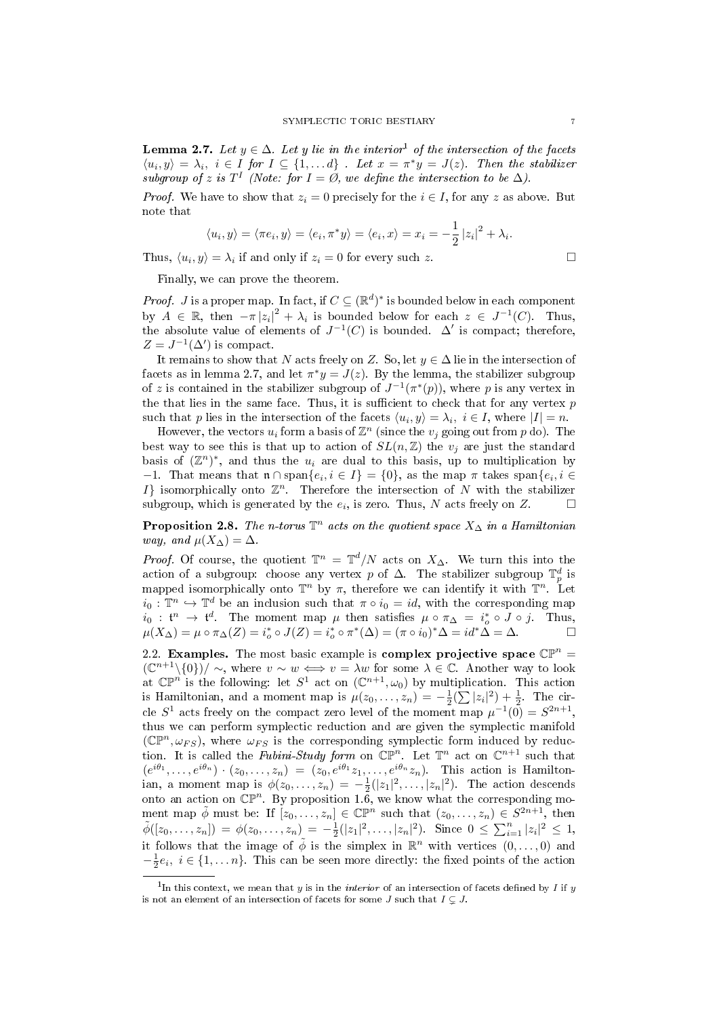**Lemma 2.7.** Let  $y \in \Delta$ . Let y lie in the interior<sup>1</sup> of the intersection of the facets  $\langle u_i, y \rangle = \lambda_i, i \in I$  for  $I \subseteq \{1, \ldots d\}$ . Let  $x = \pi^* y = J(z)$ . Then the stabilizer subgroup of z is  $T<sup>I</sup>$  (Note: for  $I = \emptyset$ , we define the intersection to be  $\Delta$ ).

*Proof.* We have to show that  $z_i = 0$  precisely for the  $i \in I$ , for any z as above. But note that

$$
\langle u_i, y \rangle = \langle \pi e_i, y \rangle = \langle e_i, \pi^* y \rangle = \langle e_i, x \rangle = x_i = -\frac{1}{2} |z_i|^2 + \lambda_i.
$$

Thus,  $\langle u_i, y \rangle = \lambda_i$  if and only if  $z_i = 0$  for every such z.

Finally, we can prove the theorem.

*Proof.* J is a proper map. In fact, if  $C \subseteq (\mathbb{R}^d)^*$  is bounded below in each component by  $A \in \mathbb{R}$ , then  $-\pi |z_i|^2 + \lambda_i$  is bounded below for each  $z \in J^{-1}(C)$ . Thus, the absolute value of elements of  $J^{-1}(C)$  is bounded.  $\Delta'$  is compact; therefore,  $Z = J^{-1}(\Delta')$  is compact.

It remains to show that N acts freely on Z. So, let  $y \in \Delta$  lie in the intersection of facets as in lemma 2.7, and let  $\pi^* y = J(z)$ . By the lemma, the stabilizer subgroup of z is contained in the stabilizer subgroup of  $J^{-1}(\pi^*(p))$ , where p is any vertex in the that lies in the same face. Thus, it is sufficient to check that for any vertex  $p$ such that p lies in the intersection of the facets  $\langle u_i, y \rangle = \lambda_i, i \in I$ , where  $|I| = n$ .

However, the vectors  $u_i$  form a basis of  $\mathbb{Z}^n$  (since the  $v_j$  going out from p do). The best way to see this is that up to action of  $SL(n, \mathbb{Z})$  the  $v_i$  are just the standard basis of  $(\mathbb{Z}^n)^*$ , and thus the  $u_i$  are dual to this basis, up to multiplication by  $-1$ . That means that  $\mathfrak{n} \cap \text{span}\{e_i, i \in I\} = \{0\}$ , as the map π takes span $\{e_i, i \in I\}$ I} isomorphically onto  $\mathbb{Z}^n$ . Therefore the intersection of N with the stabilizer subgroup, which is generated by the  $e_i$ , is zero. Thus, N acts freely on Z.

**Proposition 2.8.** The n-torus  $\mathbb{T}^n$  acts on the quotient space  $X_\Delta$  in a Hamiltonian way, and  $\mu(X_{\Delta}) = \Delta$ .

*Proof.* Of course, the quotient  $\mathbb{T}^n = \mathbb{T}^d/N$  acts on  $X_\Delta$ . We turn this into the action of a subgroup: choose any vertex p of  $\Delta$ . The stabilizer subgroup  $\mathbb{T}_p^d$  is mapped isomorphically onto  $\mathbb{T}^n$  by  $\pi$ , therefore we can identify it with  $\mathbb{T}^n$ . Let  $i_0: \mathbb{T}^n \hookrightarrow \mathbb{T}^d$  be an inclusion such that  $\pi \circ i_0 = id$ , with the corresponding map  $i_0: \mathfrak{t}^n \to \mathfrak{t}^d$ . The moment map  $\mu$  then satisfies  $\mu \circ \pi_\Delta = i_o^* \circ J \circ j$ . Thus,  $\mu(X_{\Delta}) = \mu \circ \pi_{\Delta}(Z) = i_{o}^{*} \circ J(Z) = i_{o}^{*} \circ \pi^{*}(\Delta) = (\pi \circ i_{0})^{*} \Delta = id^{*} \Delta = \Delta.$ 

2.2. Examples. The most basic example is complex projective space  $\mathbb{CP}^n$  =  $(\mathbb{C}^{n+1}\setminus\{0\})/\sim$ , where  $v\sim w \iff v=\lambda w$  for some  $\lambda\in\mathbb{C}$ . Another way to look at  $\mathbb{CP}^n$  is the following: let  $S^1$  act on  $(\mathbb{C}^{n+1}, \omega_0)$  by multiplication. This action is Hamiltonian, and a moment map is  $\mu(z_0, \ldots, z_n) = -\frac{1}{2}(\sum |z_i|^2) + \frac{1}{2}$ . The circle  $S^1$  acts freely on the compact zero level of the moment map  $\mu^{-1}(0) = S^{2n+1}$ , thus we can perform symplectic reduction and are given the symplectic manifold  $(\mathbb{CP}^n, \omega_{FS})$ , where  $\omega_{FS}$  is the corresponding symplectic form induced by reduction. It is called the *Fubini-Study form* on  $\mathbb{CP}^n$ . Let  $\mathbb{T}^n$  act on  $\mathbb{C}^{n+1}$  such that  $(e^{i\theta_1}, \ldots, e^{i\theta_n}) \cdot (z_0, \ldots, z_n) = (z_0, e^{i\theta_1}z_1, \ldots, e^{i\theta_n}z_n)$ . This action is Hamiltonian, a moment map is  $\phi(z_0, \ldots, z_n) = -\frac{1}{2}(|z_1|^2, \ldots, |z_n|^2)$ . The action descends onto an action on  $\mathbb{CP}^n$ . By proposition 1.6, we know what the corresponding moment map  $\tilde{\phi}$  must be: If  $[z_0,\ldots,z_n] \in \mathbb{CP}^n$  such that  $(z_0,\ldots,z_n) \in S^{2n+1}$ , then  $\tilde{\phi}([z_0,\ldots,z_n]) = \phi(z_0,\ldots,z_n) = -\frac{1}{2}(|z_1|^2,\ldots,|z_n|^2)$ . Since  $0 \leq \sum_{i=1}^n |z_i|^2 \leq 1$ , it follows that the image of  $\tilde{\phi}$  is the simplex in  $\mathbb{R}^n$  with vertices  $(0,\ldots,0)$  and  $-\frac{1}{2}e_i, i \in \{1, \ldots n\}$ . This can be seen more directly: the fixed points of the action

<sup>&</sup>lt;sup>1</sup>In this context, we mean that y is in the *interior* of an intersection of facets defined by *I* if y is not an element of an intersection of facets for some J such that  $I \subseteq J$ .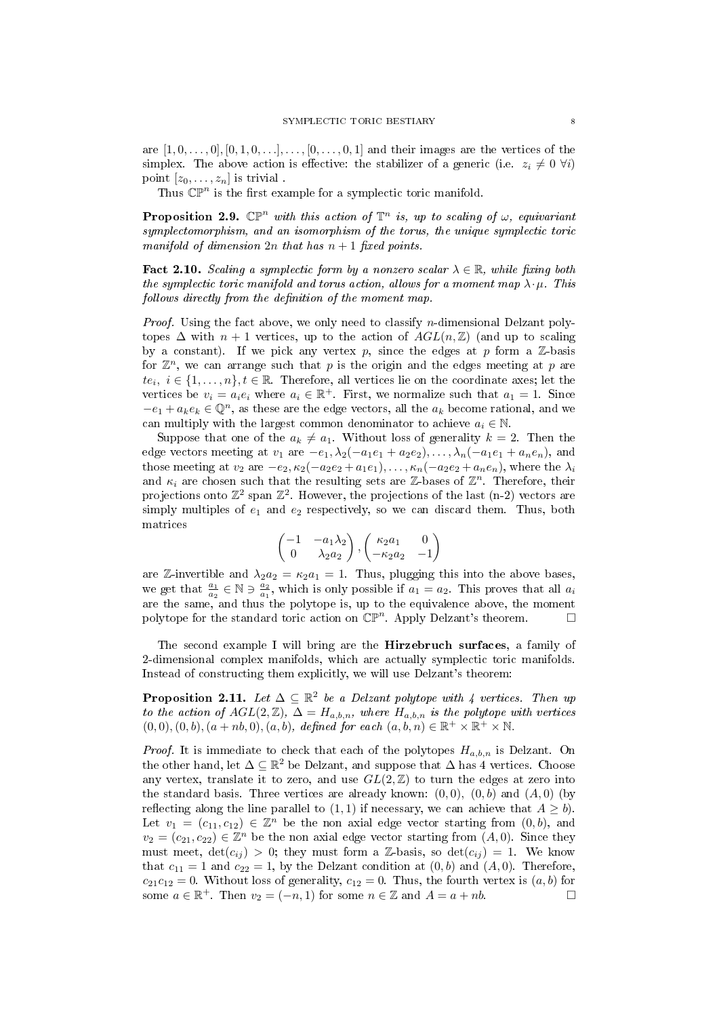are  $[1, 0, \ldots, 0], [0, 1, 0, \ldots], \ldots, [0, \ldots, 0, 1]$  and their images are the vertices of the simplex. The above action is effective: the stabilizer of a generic (i.e.  $z_i \neq 0 \; \forall i$ ) point  $[z_0, \ldots, z_n]$  is trivial.

Thus  $\mathbb{CP}^n$  is the first example for a symplectic toric manifold.

**Proposition 2.9.**  $\mathbb{CP}^n$  with this action of  $\mathbb{T}^n$  is, up to scaling of  $\omega$ , equivariant symplectomorphism, and an isomorphism of the torus, the unique symplectic toric manifold of dimension  $2n$  that has  $n+1$  fixed points.

**Fact 2.10.** Scaling a symplectic form by a nonzero scalar  $\lambda \in \mathbb{R}$ , while fixing both the symplectic toric manifold and torus action, allows for a moment map  $\lambda \cdot \mu$ . This follows directly from the definition of the moment map.

*Proof.* Using the fact above, we only need to classify *n*-dimensional Delzant polytopes  $\Delta$  with  $n + 1$  vertices, up to the action of  $AGL(n, \mathbb{Z})$  (and up to scaling by a constant). If we pick any vertex  $p$ , since the edges at  $p$  form a  $\mathbb{Z}$ -basis for  $\mathbb{Z}^n$ , we can arrange such that p is the origin and the edges meeting at p are  $te_i, i \in \{1, \ldots, n\}, t \in \mathbb{R}$ . Therefore, all vertices lie on the coordinate axes; let the vertices be  $v_i = a_i e_i$  where  $a_i \in \mathbb{R}^+$ . First, we normalize such that  $a_1 = 1$ . Since  $-e_1 + a_k e_k \in \mathbb{Q}^n$ , as these are the edge vectors, all the  $a_k$  become rational, and we can multiply with the largest common denominator to achieve  $a_i \in \mathbb{N}$ .

Suppose that one of the  $a_k \neq a_1$ . Without loss of generality  $k = 2$ . Then the edge vectors meeting at  $v_1$  are  $-e_1, \lambda_2(-a_1e_1 + a_2e_2), \ldots, \lambda_n(-a_1e_1 + a_ne_n)$ , and those meeting at  $v_2$  are  $-e_2$ ,  $\kappa_2(-a_2e_2 + a_1e_1)$ , ...,  $\kappa_n(-a_2e_2 + a_ne_n)$ , where the  $\lambda_i$ and  $\kappa_i$  are chosen such that the resulting sets are Z-bases of  $\mathbb{Z}^n$ . Therefore, their projections onto  $\mathbb{Z}^2$  span  $\mathbb{Z}^2$ . However, the projections of the last (n-2) vectors are simply multiples of  $e_1$  and  $e_2$  respectively, so we can discard them. Thus, both matrices

$$
\begin{pmatrix} -1 & -a_1\lambda_2 \\ 0 & \lambda_2 a_2 \end{pmatrix}, \begin{pmatrix} \kappa_2 a_1 & 0 \\ -\kappa_2 a_2 & -1 \end{pmatrix}
$$

are Z-invertible and  $\lambda_2 a_2 = \kappa_2 a_1 = 1$ . Thus, plugging this into the above bases, we get that  $\frac{a_1}{a_2} \in \mathbb{N} \ni \frac{a_2}{a_1}$ , which is only possible if  $a_1 = a_2$ . This proves that all  $a_i$ are the same, and thus the polytope is, up to the equivalence above, the moment polytope for the standard toric action on  $\mathbb{CP}^n$ . Apply Delzant's theorem.

The second example I will bring are the Hirzebruch surfaces, a family of 2-dimensional complex manifolds, which are actually symplectic toric manifolds. Instead of constructing them explicitly, we will use Delzant's theorem:

**Proposition 2.11.** Let  $\Delta \subseteq \mathbb{R}^2$  be a Delzant polytope with 4 vertices. Then up to the action of  $AGL(2, \mathbb{Z})$ ,  $\Delta = H_{a,b,n}$ , where  $H_{a,b,n}$  is the polytope with vertices  $(0,0), (0,b), (a+nb,0), (a, b),$  defined for each  $(a, b, n) \in \mathbb{R}^+ \times \mathbb{R}^+ \times \mathbb{N}$ .

*Proof.* It is immediate to check that each of the polytopes  $H_{a,b,n}$  is Delzant. On the other hand, let  $\Delta \subseteq \mathbb{R}^2$  be Delzant, and suppose that  $\Delta$  has 4 vertices. Choose any vertex, translate it to zero, and use  $GL(2,\mathbb{Z})$  to turn the edges at zero into the standard basis. Three vertices are already known:  $(0,0)$ ,  $(0,b)$  and  $(A,0)$  (by reflecting along the line parallel to  $(1, 1)$  if necessary, we can achieve that  $A \geq b$ . Let  $v_1 = (c_{11}, c_{12}) \in \mathbb{Z}^n$  be the non axial edge vector starting from  $(0, b)$ , and  $v_2 = (c_{21}, c_{22}) \in \mathbb{Z}^n$  be the non axial edge vector starting from  $(A, 0)$ . Since they must meet,  $\det(c_{ij}) > 0$ ; they must form a Z-basis, so  $\det(c_{ij}) = 1$ . We know that  $c_{11} = 1$  and  $c_{22} = 1$ , by the Delzant condition at  $(0, b)$  and  $(A, 0)$ . Therefore,  $c_{21}c_{12} = 0$ . Without loss of generality,  $c_{12} = 0$ . Thus, the fourth vertex is  $(a, b)$  for some  $a \in \mathbb{R}^+$ . Then  $v_2 = (-n, 1)$  for some  $n \in \mathbb{Z}$  and  $A = a + nb$ .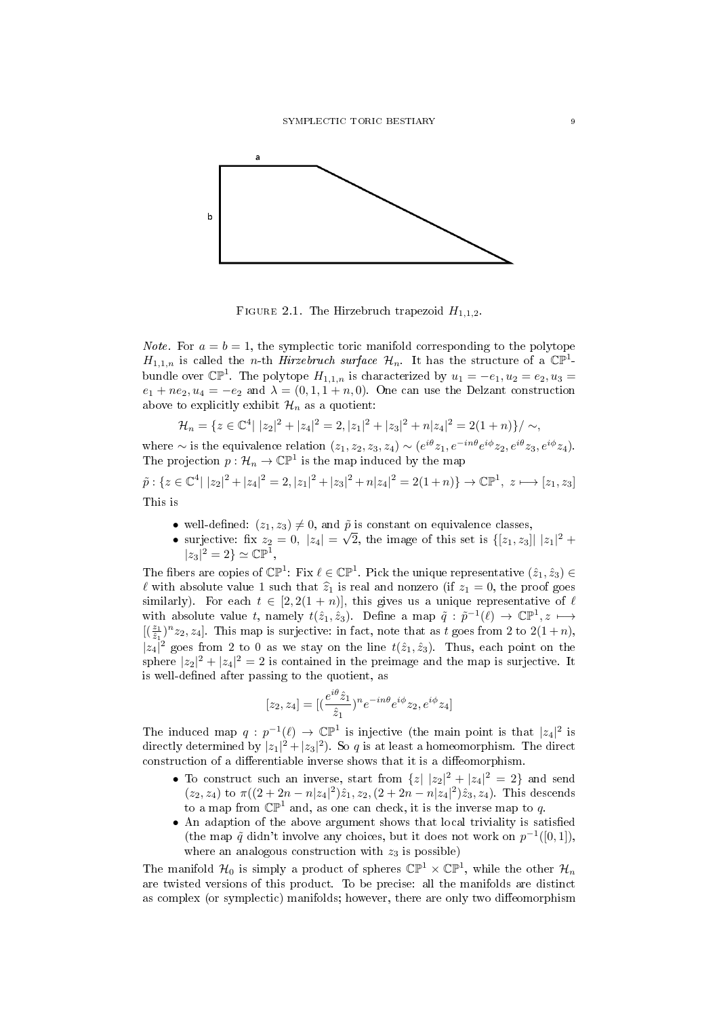

FIGURE 2.1. The Hirzebruch trapezoid  $H_{1,1,2}$ .

*Note.* For  $a = b = 1$ , the symplectic toric manifold corresponding to the polytope  $H_{1,1,n}$  is called the *n*-th *Hirzebruch surface*  $\mathcal{H}_n$ . It has the structure of a  $\mathbb{CP}^1$ bundle over  $\mathbb{CP}^1$ . The polytope  $H_{1,1,n}$  is characterized by  $u_1 = -e_1, u_2 = e_2, u_3 =$  $e_1 + ne_2, u_4 = -e_2$  and  $\lambda = (0, 1, 1 + n, 0)$ . One can use the Delzant construction above to explicitly exhibit  $\mathcal{H}_n$  as a quotient:

$$
\mathcal{H}_n = \{ z \in \mathbb{C}^4 | |z_2|^2 + |z_4|^2 = 2, |z_1|^2 + |z_3|^2 + n|z_4|^2 = 2(1+n) \} / \sim,
$$

where  $\sim$  is the equivalence relation  $(z_1, z_2, z_3, z_4) \sim (e^{i\theta} z_1, e^{-in\theta} e^{i\phi} z_2, e^{i\theta} z_3, e^{i\phi} z_4)$ . The projection  $p: \mathcal{H}_n \to \mathbb{CP}^1$  is the map induced by the map

$$
\tilde{p}: \{z \in \mathbb{C}^4 \mid |z_2|^2 + |z_4|^2 = 2, |z_1|^2 + |z_3|^2 + n|z_4|^2 = 2(1+n)\} \to \mathbb{CP}^1, \ z \longmapsto [z_1, z_3]
$$
  
This is

- well-defined:  $(z_1, z_3) \neq 0$ , and  $\tilde{p}$  is constant on equivalence classes,  $\mathbb{P}$
- surjective: fix  $z_2 = 0, |z_4|$  =  $\overline{2}$ , the image of this set is  $\{[z_1, z_3] | |z_1|^2 + \}$  $|z_3|^2 = 2$   $\cong \mathbb{CP}^1$ ,

The fibers are copies of  $\mathbb{CP}^1$ : Fix  $\ell \in \mathbb{CP}^1$ . Pick the unique representative  $(\hat{z}_1, \hat{z}_3) \in$  $\ell$  with absolute value 1 such that  $\hat{z}_1$  is real and nonzero (if  $z_1 = 0$ , the proof goes similarly). For each  $t \in [2, 2(1 + n)]$ , this gives us a unique representative of  $\ell$ with absolute value t, namely  $t(\hat{z}_1, \hat{z}_3)$ . Define a map  $\tilde{q} : \tilde{p}^{-1}(\ell) \to \mathbb{C} \mathbb{P}^1$ ,  $z \mapsto$  $[(\frac{z_1}{\hat{z}_1})^n z_2, z_4]$ . This map is surjective: in fact, note that as t goes from 2 to  $2(1+n)$ ,  $|z_4|^2$  goes from 2 to 0 as we stay on the line  $t(\hat{z}_1, \hat{z}_3)$ . Thus, each point on the sphere  $|z_2|^2 + |z_4|^2 = 2$  is contained in the preimage and the map is surjective. It is well-defined after passing to the quotient, as

$$
[z_2, z_4] = [(\frac{e^{i\theta}\hat{z}_1}{\hat{z}_1})^n e^{-in\theta} e^{i\phi} z_2, e^{i\phi} z_4]
$$

The induced map  $q: p^{-1}(\ell) \to \mathbb{CP}^1$  is injective (the main point is that  $|z_4|^2$  is directly determined by  $|z_1|^2 + |z_3|^2$ . So q is at least a homeomorphism. The direct construction of a differentiable inverse shows that it is a diffeomorphism.

- To construct such an inverse, start from  $\{z \mid |z_2|^2 + |z_4|^2 = 2\}$  and send  $(z_2, z_4)$  to  $\pi((2 + 2n - n|z_4|^2)\hat{z}_1, z_2, (2 + 2n - n|z_4|^2)\hat{z}_3, z_4)$ . This descends to a map from  $\mathbb{CP}^1$  and, as one can check, it is the inverse map to q.
- An adaption of the above argument shows that local triviality is satisfied (the map  $\tilde{q}$  didn't involve any choices, but it does not work on  $p^{-1}([0, 1])$ , where an analogous construction with  $z_3$  is possible)

The manifold  $\mathcal{H}_0$  is simply a product of spheres  $\mathbb{CP}^1 \times \mathbb{CP}^1$ , while the other  $\mathcal{H}_n$ are twisted versions of this product. To be precise: all the manifolds are distinct as complex (or symplectic) manifolds; however, there are only two diffeomorphism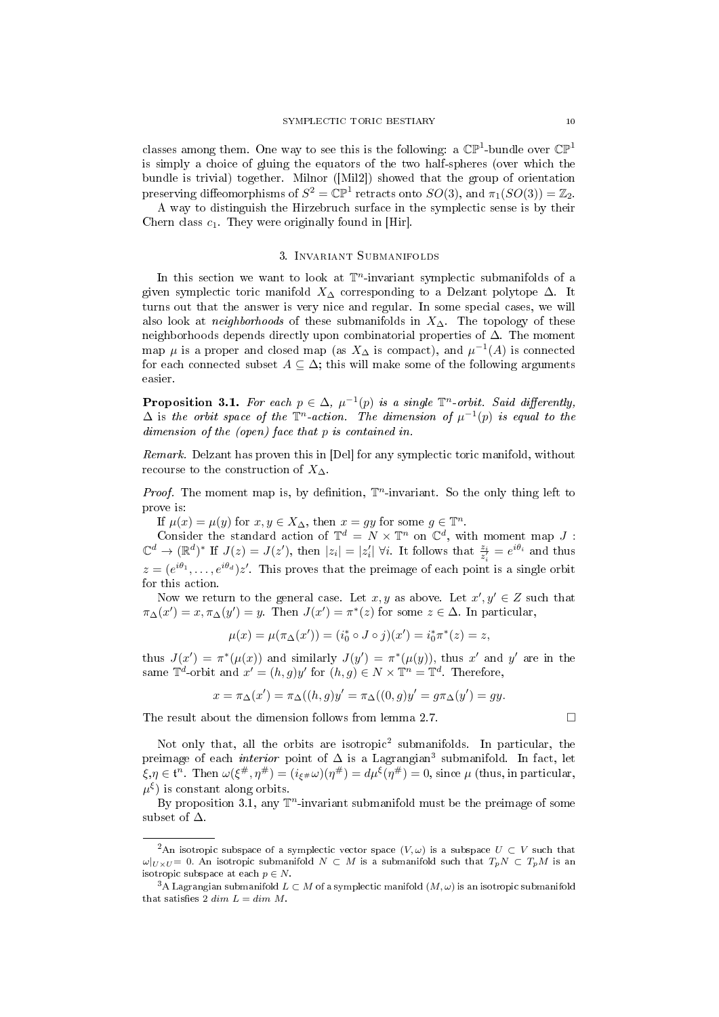classes among them. One way to see this is the following: a  $\mathbb{CP}^1$ -bundle over  $\mathbb{CP}^1$ is simply a choice of gluing the equators of the two half-spheres (over which the bundle is trivial) together. Milnor ([Mil2]) showed that the group of orientation preserving diffeomorphisms of  $S^2 = \mathbb{CP}^1$  retracts onto  $SO(3)$ , and  $\pi_1(SO(3)) = \mathbb{Z}_2$ .

A way to distinguish the Hirzebruch surface in the symplectic sense is by their Chern class  $c_1$ . They were originally found in [Hir].

## 3. Invariant Submanifolds

In this section we want to look at  $\mathbb{T}^n$ -invariant symplectic submanifolds of a given symplectic toric manifold  $X_{\Delta}$  corresponding to a Delzant polytope  $\Delta$ . It turns out that the answer is very nice and regular. In some special cases, we will also look at *neighborhoods* of these submanifolds in  $X_\Delta$ . The topology of these neighborhoods depends directly upon combinatorial properties of ∆. The moment map  $\mu$  is a proper and closed map (as  $X_{\Delta}$  is compact), and  $\mu^{-1}(A)$  is connected for each connected subset  $A \subseteq \Delta$ ; this will make some of the following arguments easier.

**Proposition 3.1.** For each  $p \in \Delta$ ,  $\mu^{-1}(p)$  is a single  $\mathbb{T}^n$ -orbit. Said differently,  $\Delta$  is the orbit space of the  $\mathbb{T}^n$ -action. The dimension of  $\mu^{-1}(p)$  is equal to the dimension of the (open) face that p is contained in.

Remark. Delzant has proven this in [Del] for any symplectic toric manifold, without recourse to the construction of  $X_\Delta$ .

*Proof.* The moment map is, by definition,  $\mathbb{T}^n$ -invariant. So the only thing left to prove is:

If  $\mu(x) = \mu(y)$  for  $x, y \in X_{\Delta}$ , then  $x = gy$  for some  $g \in \mathbb{T}^n$ .

Consider the standard action of  $\mathbb{T}^d = N \times \mathbb{T}^n$  on  $\mathbb{C}^d$ , with moment map J:  $\mathbb{C}^d \to (\mathbb{R}^d)^*$  If  $J(z) = J(z')$ , then  $|z_i| = |z'_i|$   $\forall i$ . It follows that  $\frac{z_i}{z'_i} = e^{i\theta_i}$  and thus  $z = (e^{i\theta_1}, \ldots, e^{i\theta_d})z'$ . This proves that the preimage of each point is a single orbit for this action.

Now we return to the general case. Let x, y as above. Let  $x', y' \in Z$  such that  $\pi_{\Delta}(x') = x, \pi_{\Delta}(y') = y$ . Then  $J(x') = \pi^*(z)$  for some  $z \in \Delta$ . In particular,

$$
\mu(x) = \mu(\pi_{\Delta}(x')) = (i_0^* \circ J \circ j)(x') = i_0^* \pi^*(z) = z,
$$

thus  $J(x') = \pi^*(\mu(x))$  and similarly  $J(y') = \pi^*(\mu(y))$ , thus x' and y' are in the same  $\mathbb{T}^d$ -orbit and  $x' = (h, g)y'$  for  $(h, g) \in N \times \mathbb{T}^n = \mathbb{T}^d$ . Therefore,

$$
x = \pi_{\Delta}(x') = \pi_{\Delta}((h, g)y' = \pi_{\Delta}((0, g)y' = g\pi_{\Delta}(y') = gy).
$$

The result about the dimension follows from lemma 2.7.

Not only that, all the orbits are isotropic<sup>2</sup> submanifolds. In particular, the preimage of each *interior* point of  $\Delta$  is a Lagrangian<sup>3</sup> submanifold. In fact, let  $\xi, \eta \in \mathfrak{t}^n$ . Then  $\omega(\xi^\#, \eta^\#)=(i_{\xi^\#} \omega)(\eta^\#)=d\mu^\xi(\eta^\#)=0,$  since  $\mu$  (thus, in particular,  $\mu^{\xi}$ ) is constant along orbits.

By proposition 3.1, any  $\mathbb{T}^n$ -invariant submanifold must be the preimage of some subset of  $\Delta$ .

<sup>&</sup>lt;sup>2</sup>An isotropic subspace of a symplectic vector space  $(V, \omega)$  is a subspace  $U \subset V$  such that  $\omega|_{U\times U} = 0$ . An isotropic submanifold  $N \subset M$  is a submanifold such that  $T_pN \subset T_pM$  is an isotropic subspace at each  $p \in N$ .

<sup>&</sup>lt;sup>3</sup>A Lagrangian submanifold  $L \subset M$  of a symplectic manifold  $(M, \omega)$  is an isotropic submanifold that satisfies 2 dim  $L = dim M$ .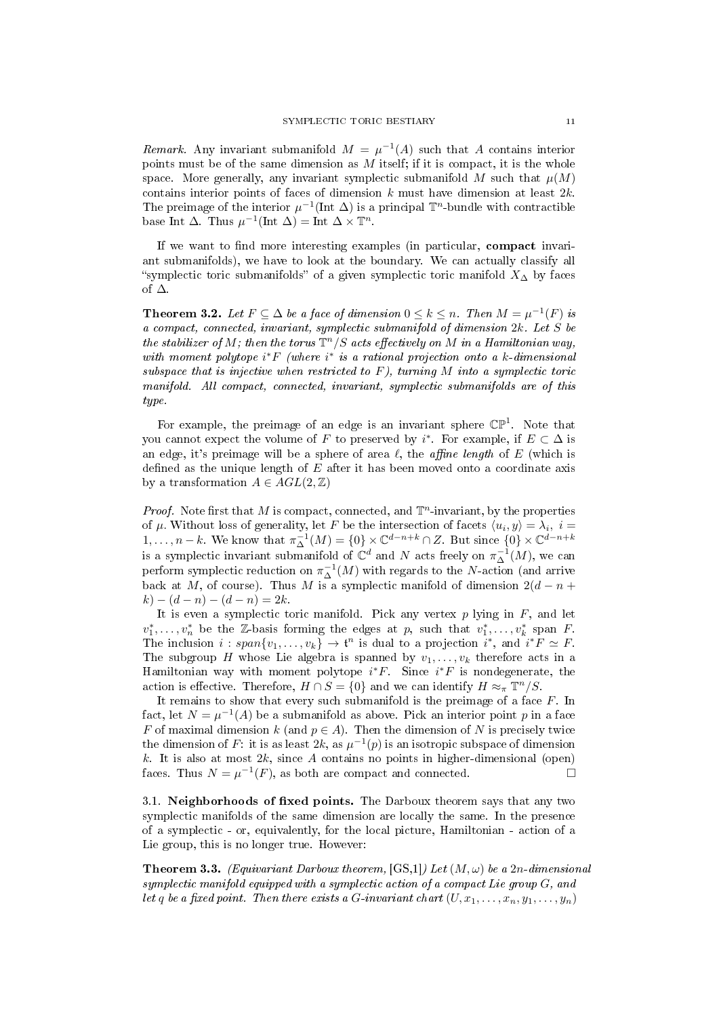Remark. Any invariant submanifold  $M = \mu^{-1}(A)$  such that A contains interior points must be of the same dimension as  $M$  itself; if it is compact, it is the whole space. More generally, any invariant symplectic submanifold M such that  $\mu(M)$ contains interior points of faces of dimension k must have dimension at least  $2k$ . The preimage of the interior  $\mu^{-1}$ (Int  $\Delta$ ) is a principal  $\mathbb{T}^n$ -bundle with contractible base Int  $\Delta$ . Thus  $\mu^{-1}(\text{Int } \Delta) = \text{Int } \Delta \times \mathbb{T}^n$ .

If we want to find more interesting examples (in particular, compact invariant submanifolds), we have to look at the boundary. We can actually classify all "symplectic toric submanifolds" of a given symplectic toric manifold  $X<sub>∆</sub>$  by faces of ∆.

**Theorem 3.2.** Let  $F \subseteq \Delta$  be a face of dimension  $0 \leq k \leq n$ . Then  $M = \mu^{-1}(F)$  is a compact, connected, invariant, symplectic submanifold of dimension 2k. Let S be the stabilizer of M; then the torus  $\mathbb{T}^n/S$  acts effectively on M in a Hamiltonian way, with moment polytope  $i^*F$  (where  $i^*$  is a rational projection onto a k-dimensional subspace that is injective when restricted to  $F$ ), turning  $M$  into a symplectic toric manifold. All compact, connected, invariant, symplectic submanifolds are of this type.

For example, the preimage of an edge is an invariant sphere  $\mathbb{CP}^1$ . Note that you cannot expect the volume of F to preserved by  $i^*$ . For example, if  $E \subset \Delta$  is an edge, it's preimage will be a sphere of area  $\ell$ , the *affine length* of E (which is defined as the unique length of  $E$  after it has been moved onto a coordinate axis by a transformation  $A \in AGL(2, \mathbb{Z})$ 

*Proof.* Note first that M is compact, connected, and  $\mathbb{T}^n$ -invariant, by the properties of  $\mu$ . Without loss of generality, let F be the intersection of facets  $\langle u_i, y \rangle = \lambda_i, i =$  $1, \ldots, n-k$ . We know that  $\pi_{\Delta}^{-1}(M) = \{0\} \times \mathbb{C}^{d-n+k} \cap Z$ . But since  $\{0\} \times \mathbb{C}^{d-n+k}$ is a symplectic invariant submanifold of  $\mathbb{C}^d$  and N acts freely on  $\pi_{\Delta}^{-1}(M)$ , we can perform symplectic reduction on  $\pi_{\Delta}^{-1}(M)$  with regards to the N-action (and arrive back at M, of course). Thus M is a symplectic manifold of dimension  $2(d - n +$  $k) - (d - n) - (d - n) = 2k.$ 

It is even a symplectic toric manifold. Pick any vertex  $p$  lying in  $F$ , and let  $v_1^*, \ldots, v_n^*$  be the Z-basis forming the edges at p, such that  $v_1^*, \ldots, v_k^*$  span F. The inclusion  $i: span\{v_1, \ldots, v_k\} \to \mathfrak{t}^n$  is dual to a projection  $i^*$ , and  $i^*F \simeq F$ . The subgroup H whose Lie algebra is spanned by  $v_1, \ldots, v_k$  therefore acts in a Hamiltonian way with moment polytope  $i^*F$ . Since  $i^*F$  is nondegenerate, the action is effective. Therefore,  $H \cap S = \{0\}$  and we can identify  $H \approx_{\pi} \mathbb{T}^n / S$ .

It remains to show that every such submanifold is the preimage of a face  $F$ . In fact, let  $N = \mu^{-1}(A)$  be a submanifold as above. Pick an interior point p in a face F of maximal dimension k (and  $p \in A$ ). Then the dimension of N is precisely twice the dimension of F: it is as least  $2k$ , as  $\mu^{-1}(p)$  is an isotropic subspace of dimension k. It is also at most  $2k$ , since A contains no points in higher-dimensional (open) faces. Thus  $N = \mu^{-1}(F)$ , as both are compact and connected.

3.1. Neighborhoods of fixed points. The Darboux theorem says that any two symplectic manifolds of the same dimension are locally the same. In the presence of a symplectic - or, equivalently, for the local picture, Hamiltonian - action of a Lie group, this is no longer true. However:

**Theorem 3.3.** (Equivariant Darboux theorem,  $[GS,1]$ ) Let  $(M, \omega)$  be a 2n-dimensional symplectic manifold equipped with a symplectic action of a compact Lie group  $G$ , and let q be a fixed point. Then there exists a G-invariant chart  $(U, x_1, \ldots, x_n, y_1, \ldots, y_n)$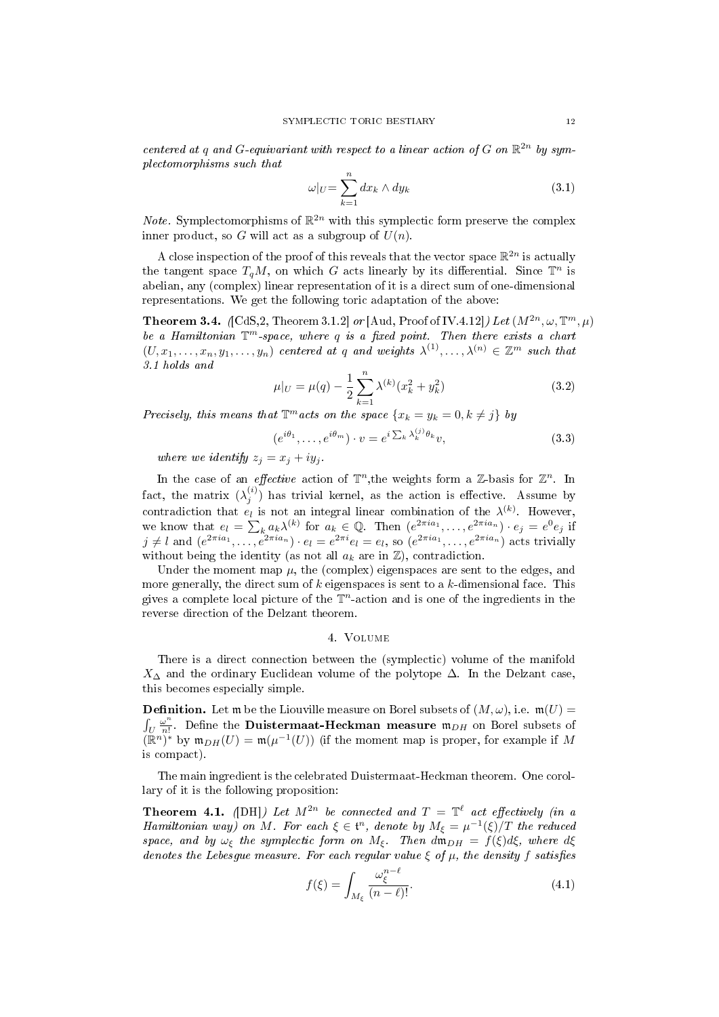centered at q and G-equivariant with respect to a linear action of G on  $\mathbb{R}^{2n}$  by symplectomorphisms such that

$$
\omega|_U = \sum_{k=1}^n dx_k \wedge dy_k \tag{3.1}
$$

*Note.* Symplectomorphisms of  $\mathbb{R}^{2n}$  with this symplectic form preserve the complex inner product, so G will act as a subgroup of  $U(n)$ .

A close inspection of the proof of this reveals that the vector space  $\mathbb{R}^{2n}$  is actually the tangent space  $T_qM$ , on which G acts linearly by its differential. Since  $\mathbb{T}^n$  is abelian, any (complex) linear representation of it is a direct sum of one-dimensional representations. We get the following toric adaptation of the above:

**Theorem 3.4.** (CdS,2, Theorem 3.1.2) or [Aud, Proof of IV.4.12]) Let  $(M^{2n}, \omega, \mathbb{T}^m, \mu)$ be a Hamiltonian  $\mathbb{T}^m$ -space, where q is a fixed point. Then there exists a chart  $(U, x_1, \ldots, x_n, y_1, \ldots, y_n)$  centered at q and weights  $\lambda^{(1)}, \ldots, \lambda^{(n)} \in \mathbb{Z}^m$  such that 3.1 holds and

$$
\mu|_U = \mu(q) - \frac{1}{2} \sum_{k=1}^n \lambda^{(k)} (x_k^2 + y_k^2)
$$
\n(3.2)

Precisely, this means that  $\mathbb{T}^m$  acts on the space  $\{x_k = y_k = 0, k \neq j\}$  by

$$
(e^{i\theta_1}, \dots, e^{i\theta_m}) \cdot v = e^{i\sum_k \lambda_k^{(j)} \theta_k} v,
$$
\n(3.3)

where we identify  $z_i = x_i + iy_i$ .

In the case of an *effective* action of  $\mathbb{T}^n$ , the weights form a Z-basis for  $\mathbb{Z}^n$ . In fact, the matrix  $(\lambda_j^{(i)})$  has trivial kernel, as the action is effective. Assume by contradiction that  $e_l$  is not an integral linear combination of the  $\lambda^{(k)}$ . However, we know that  $e_l = \sum_k a_k \lambda^{(k)}$  for  $a_k \in \mathbb{Q}$ . Then  $(e^{2\pi i a_1}, \ldots, e^{2\pi i a_n}) \cdot e_j = e^0 e_j$  if  $j \neq l$  and  $(e^{2\pi i a_1}, \ldots, e^{2\pi i a_n}) \cdot e_l = e^{2\pi i} e_l = e_l$ , so  $(e^{2\pi i a_1}, \ldots, e^{2\pi i a_n})$  acts trivially without being the identity (as not all  $a_k$  are in  $\mathbb{Z}$ ), contradiction.

Under the moment map  $\mu$ , the (complex) eigenspaces are sent to the edges, and more generally, the direct sum of  $k$  eigenspaces is sent to a  $k$ -dimensional face. This gives a complete local picture of the  $\mathbb{T}^n$ -action and is one of the ingredients in the reverse direction of the Delzant theorem.

### 4. Volume

There is a direct connection between the (symplectic) volume of the manifold  $X_\Delta$  and the ordinary Euclidean volume of the polytope  $\Delta$ . In the Delzant case, this becomes especially simple.

**Definition.** Let m be the Liouville measure on Borel subsets of  $(M, \omega)$ , i.e.  $m(U)$  =  $\int_U \frac{\omega^n}{n!}$  $\frac{\omega^n}{n!}$ . Define the **Duistermaat-Heckman measure**  $\mathfrak{m}_{DH}$  on Borel subsets of  $(\mathbb{R}^n)^*$  by  $\mathfrak{m}_{DH}(U) = \mathfrak{m}(\mu^{-1}(U))$  (if the moment map is proper, for example if M is compact).

The main ingredient is the celebrated Duistermaat-Heckman theorem. One corollary of it is the following proposition:

**Theorem 4.1.** (DH) Let  $M^{2n}$  be connected and  $T = \mathbb{T}^{\ell}$  act effectively (in a Hamiltonian way) on M. For each  $\xi \in \mathfrak{t}^n$ , denote by  $M_{\xi} = \mu^{-1}(\xi)/T$  the reduced space, and by  $\omega_{\xi}$  the symplectic form on  $M_{\xi}$ . Then  $d\mathfrak{m}_{DH} = f(\xi)d\xi$ , where  $d\xi$ denotes the Lebesgue measure. For each regular value  $\xi$  of  $\mu$ , the density f satisfies

$$
f(\xi) = \int_{M_{\xi}} \frac{\omega_{\xi}^{n-\ell}}{(n-\ell)!}.
$$
\n(4.1)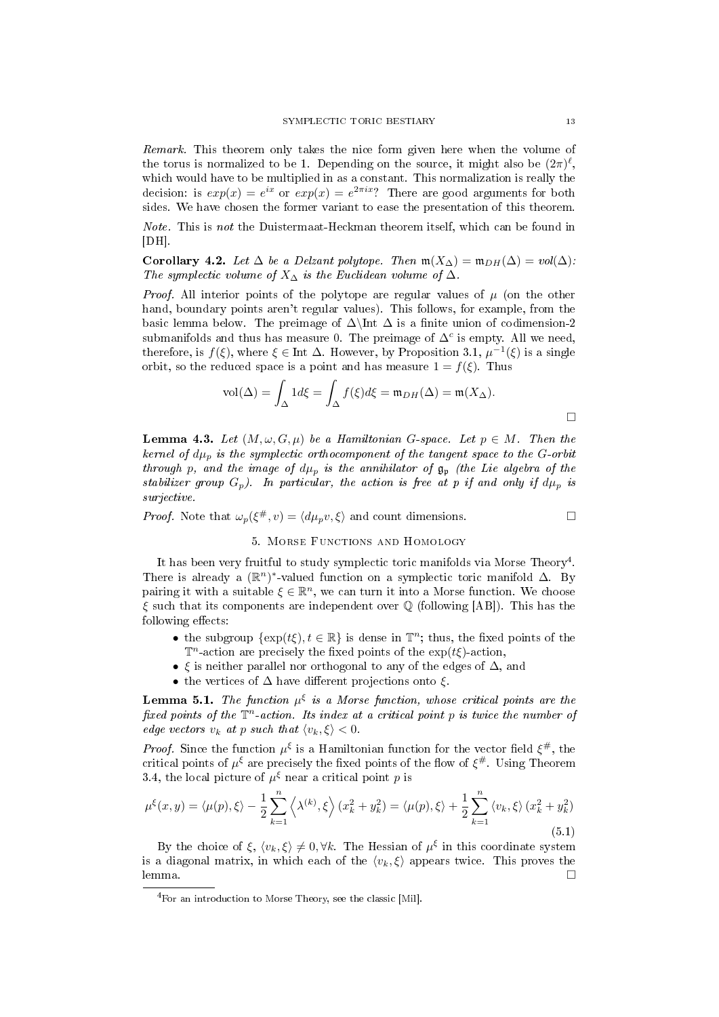Remark. This theorem only takes the nice form given here when the volume of the torus is normalized to be 1. Depending on the source, it might also be  $(2\pi)^{\ell}$ , which would have to be multiplied in as a constant. This normalization is really the decision: is  $exp(x) = e^{ix}$  or  $exp(x) = e^{2\pi ix}$ ? There are good arguments for both sides. We have chosen the former variant to ease the presentation of this theorem.

Note. This is not the Duistermaat-Heckman theorem itself, which can be found in  $|DH|.$ 

Corollary 4.2. Let  $\Delta$  be a Delzant polytope. Then  $\mathfrak{m}(X_{\Delta}) = \mathfrak{m}_{DH}(\Delta) = vol(\Delta)$ : The symplectic volume of  $X_\Delta$  is the Euclidean volume of  $\Delta$ .

*Proof.* All interior points of the polytope are regular values of  $\mu$  (on the other hand, boundary points aren't regular values). This follows, for example, from the basic lemma below. The preimage of  $\Delta$ \Int  $\Delta$  is a finite union of codimension-2 submanifolds and thus has measure 0. The preimage of  $\Delta^c$  is empty. All we need, therefore, is  $f(\xi)$ , where  $\xi \in \text{Int } \Delta$ . However, by Proposition 3.1,  $\mu^{-1}(\xi)$  is a single orbit, so the reduced space is a point and has measure  $1 = f(\xi)$ . Thus

$$
\text{vol}(\Delta) = \int_{\Delta} 1 d\xi = \int_{\Delta} f(\xi) d\xi = \mathfrak{m}_{DH}(\Delta) = \mathfrak{m}(X_{\Delta}).
$$

**Lemma 4.3.** Let  $(M, \omega, G, \mu)$  be a Hamiltonian G-space. Let  $p \in M$ . Then the kernel of  $d\mu_p$  is the symplectic orthocomponent of the tangent space to the G-orbit through p, and the image of  $d\mu_p$  is the annihilator of  $\mathfrak{g}_p$  (the Lie algebra of the stabilizer group  $G_p$ ). In particular, the action is free at p if and only if  $d\mu_p$  is surjective.

*Proof.* Note that  $\omega_p(\xi^{\#}, v) = \langle d\mu_p v, \xi \rangle$  and count dimensions.

### 5. Morse Functions and Homology

It has been very fruitful to study symplectic toric manifolds via Morse Theory<sup>4</sup>. There is already a  $(\mathbb{R}^n)^*$ -valued function on a symplectic toric manifold  $\Delta$ . By pairing it with a suitable  $\xi \in \mathbb{R}^n$ , we can turn it into a Morse function. We choose  $\xi$  such that its components are independent over  $\mathbb Q$  (following [AB]). This has the following effects:

- the subgroup  $\{\exp(t\xi), t \in \mathbb{R}\}\$ is dense in  $\mathbb{T}^n$ ; thus, the fixed points of the  $\mathbb{T}^n$ -action are precisely the fixed points of the exp( $t\xi$ )-action,
- $\xi$  is neither parallel nor orthogonal to any of the edges of  $\Delta$ , and
- the vertices of  $\Delta$  have different projections onto  $\xi$

**Lemma 5.1.** The function  $\mu^{\xi}$  is a Morse function, whose critical points are the fixed points of the  $\mathbb{T}^n$ -action. Its index at a critical point p is twice the number of edge vectors  $v_k$  at p such that  $\langle v_k, \xi \rangle < 0$ .

*Proof.* Since the function  $\mu^{\xi}$  is a Hamiltonian function for the vector field  $\xi^{\#}$ , the critical points of  $\mu^{\xi}$  are precisely the fixed points of the flow of  $\xi^{\#}$ . Using Theorem 3.4, the local picture of  $\mu^{\xi}$  near a critical point p is

$$
\mu^{\xi}(x, y) = \langle \mu(p), \xi \rangle - \frac{1}{2} \sum_{k=1}^{n} \left\langle \lambda^{(k)}, \xi \right\rangle (x_k^2 + y_k^2) = \langle \mu(p), \xi \rangle + \frac{1}{2} \sum_{k=1}^{n} \left\langle v_k, \xi \right\rangle (x_k^2 + y_k^2)
$$
\n(5.1)

By the choice of  $\xi, \langle v_k, \xi \rangle \neq 0, \forall k$ . The Hessian of  $\mu^{\xi}$  in this coordinate system is a diagonal matrix, in which each of the  $\langle v_k, \xi \rangle$  appears twice. This proves the lemma. □

<sup>4</sup>For an introduction to Morse Theory, see the classic [Mil].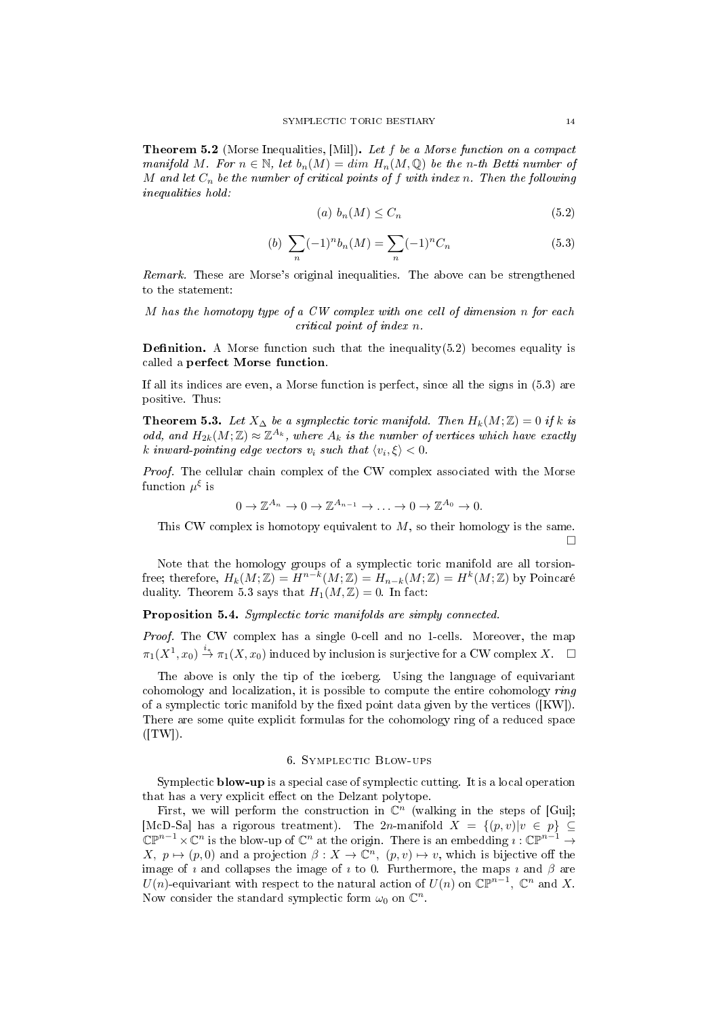Theorem 5.2 (Morse Inequalities, [Mil]). Let f be a Morse function on a compact manifold M. For  $n \in \mathbb{N}$ , let  $b_n(M) = dim H_n(M, \mathbb{Q})$  be the n-th Betti number of M and let  $C_n$  be the number of critical points of f with index n. Then the following inequalities hold:

$$
(a) b_n(M) \le C_n \tag{5.2}
$$

(b) 
$$
\sum_{n} (-1)^{n} b_{n}(M) = \sum_{n} (-1)^{n} C_{n}
$$
 (5.3)

Remark. These are Morse's original inequalities. The above can be strengthened to the statement:

M has the homotopy type of a CW complex with one cell of dimension n for each critical point of index n.

**Definition.** A Morse function such that the inequality $(5.2)$  becomes equality is called a perfect Morse function.

If all its indices are even, a Morse function is perfect, since all the signs in (5.3) are positive. Thus:

Theorem 5.3. Let  $X_{\Delta}$  be a symplectic toric manifold. Then  $H_k(M;\mathbb{Z})=0$  if k is odd, and  $H_{2k}(M;\mathbb{Z}) \approx \mathbb{Z}^{A_k}$ , where  $A_k$  is the number of vertices which have exactly k inward-pointing edge vectors  $v_i$  such that  $\langle v_i, \xi \rangle < 0$ .

Proof. The cellular chain complex of the CW complex associated with the Morse function  $\mu^\xi$  is

$$
0 \to \mathbb{Z}^{A_n} \to 0 \to \mathbb{Z}^{A_{n-1}} \to \ldots \to 0 \to \mathbb{Z}^{A_0} \to 0.
$$

This CW complex is homotopy equivalent to  $M$ , so their homology is the same.  $\Box$ 

Note that the homology groups of a symplectic toric manifold are all torsionfree; therefore,  $H_k(M;\mathbb{Z}) = H^{n-k}(M;\mathbb{Z}) = H_{n-k}(M;\mathbb{Z}) = H^k(M;\mathbb{Z})$  by Poincaré duality. Theorem 5.3 says that  $H_1(M, \mathbb{Z}) = 0$ . In fact:

Proposition 5.4. Symplectic toric manifolds are simply connected.

Proof. The CW complex has a single 0-cell and no 1-cells. Moreover, the map  $\pi_1(X^1,x_0)\stackrel{i_*}{\to} \pi_1(X,x_0)$  induced by inclusion is surjective for a CW complex  $X.$   $\Box$ 

The above is only the tip of the iceberg. Using the language of equivariant cohomology and localization, it is possible to compute the entire cohomology ring of a symplectic toric manifold by the fixed point data given by the vertices  $([KW])$ . There are some quite explicit formulas for the cohomology ring of a reduced space  $(TW)$ .

### 6. Symplectic Blow-ups

Symplectic **blow-up** is a special case of symplectic cutting. It is a local operation that has a very explicit effect on the Delzant polytope.

First, we will perform the construction in  $\mathbb{C}^n$  (walking in the steps of [Guil]; [McD-Sa] has a rigorous treatment). The 2n-manifold  $X = \{(p, v)|v \in p\} \subseteq$  $\mathbb{CP}^{n-1}\times\mathbb{C}^n$  is the blow-up of  $\mathbb{C}^n$  at the origin. There is an embedding  $\imath:\mathbb{CP}^{n-1}\to$  $X, p \mapsto (p, 0)$  and a projection  $\beta: X \to \mathbb{C}^n$ ,  $(p, v) \mapsto v$ , which is bijective off the image of  $\imath$  and collapses the image of  $\imath$  to 0. Furthermore, the maps  $\imath$  and  $\beta$  are  $U(n)$ -equivariant with respect to the natural action of  $U(n)$  on  $\mathbb{CP}^{n-1}$ ,  $\mathbb{C}^n$  and  $X$ . Now consider the standard symplectic form  $\omega_0$  on  $\mathbb{C}^n$ .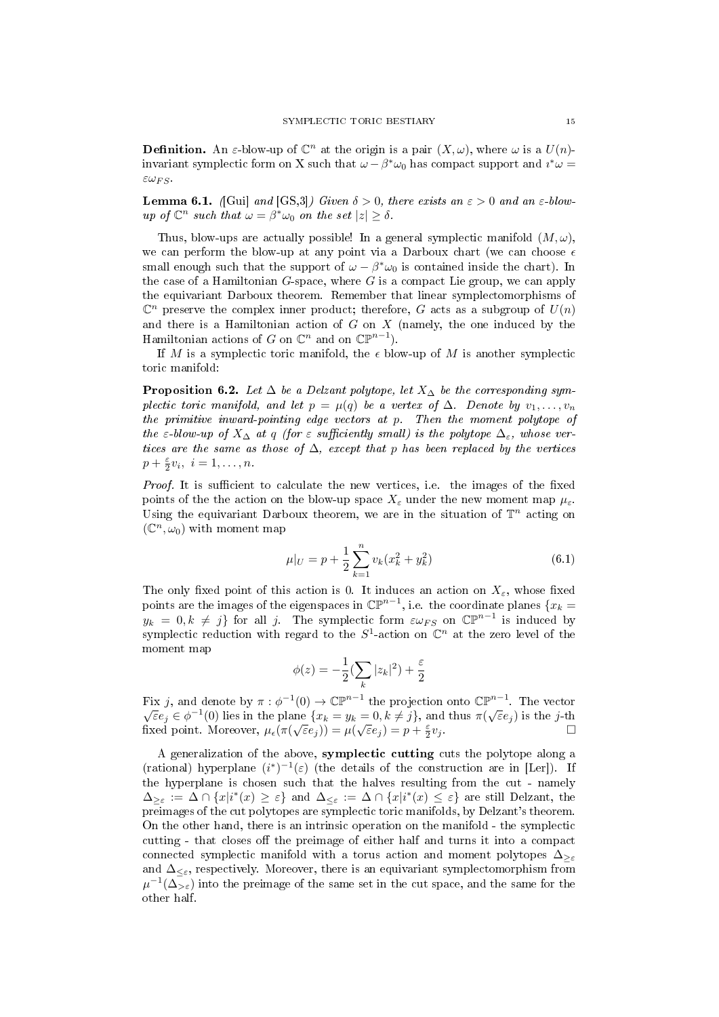**Definition.** An *ε*-blow-up of  $\mathbb{C}^n$  at the origin is a pair  $(X, \omega)$ , where  $\omega$  is a  $U(n)$ invariant symplectic form on X such that  $\omega - \beta^* \omega_0$  has compact support and  $i^* \omega =$  $\epsilon\omega_{FS}$ 

**Lemma 6.1.** (Gui) and  $(GS,3)$ ) Given  $\delta > 0$ , there exists an  $\varepsilon > 0$  and an  $\varepsilon$ -blowup of  $\mathbb{C}^n$  such that  $\omega = \beta^* \omega_0$  on the set  $|z| \ge \delta$ .

Thus, blow-ups are actually possible! In a general symplectic manifold  $(M, \omega)$ , we can perform the blow-up at any point via a Darboux chart (we can choose  $\epsilon$ small enough such that the support of  $\omega - \beta^* \omega_0$  is contained inside the chart). In the case of a Hamiltonian  $G$ -space, where  $G$  is a compact Lie group, we can apply the equivariant Darboux theorem. Remember that linear symplectomorphisms of  $\mathbb{C}^n$  preserve the complex inner product; therefore, G acts as a subgroup of  $U(n)$ and there is a Hamiltonian action of  $G$  on  $X$  (namely, the one induced by the Hamiltonian actions of G on  $\mathbb{C}^n$  and on  $\mathbb{CP}^{n-1}$ .

If M is a symplectic toric manifold, the  $\epsilon$  blow-up of M is another symplectic toric manifold:

**Proposition 6.2.** Let  $\Delta$  be a Delzant polytope, let  $X_{\Delta}$  be the corresponding symplectic toric manifold, and let  $p = \mu(q)$  be a vertex of  $\Delta$ . Denote by  $v_1, \ldots, v_n$ the primitive inward-pointing edge vectors at p. Then the moment polytope of the  $\varepsilon$ -blow-up of  $X_\Delta$  at q (for  $\varepsilon$  sufficiently small) is the polytope  $\Delta_{\varepsilon}$ , whose vertices are the same as those of  $\Delta$ , except that p has been replaced by the vertices  $p + \frac{\varepsilon}{2}v_i, i = 1,\ldots,n.$ 

*Proof.* It is sufficient to calculate the new vertices, i.e. the images of the fixed points of the the action on the blow-up space  $X_{\varepsilon}$  under the new moment map  $\mu_{\varepsilon}$ . Using the equivariant Darboux theorem, we are in the situation of  $\mathbb{T}^n$  acting on  $(\mathbb{C}^n, \omega_0)$  with moment map

$$
\mu|_U = p + \frac{1}{2} \sum_{k=1}^n v_k (x_k^2 + y_k^2) \tag{6.1}
$$

The only fixed point of this action is 0. It induces an action on  $X_{\varepsilon}$ , whose fixed points are the images of the eigenspaces in  $\mathbb{CP}^{n-1}$ , i.e. the coordinate planes  $\{x_k =$  $y_k = 0, k \neq j$  for all j. The symplectic form  $\varepsilon \omega_{FS}$  on  $\mathbb{CP}^{n-1}$  is induced by symplectic reduction with regard to the  $S^1$ -action on  $\mathbb{C}^n$  at the zero level of the moment map

$$
\phi(z) = -\frac{1}{2} \left( \sum_{k} |z_k|^2 \right) + \frac{\varepsilon}{2}
$$

Fix j, and denote by  $\pi : \phi^{-1}(0) \to \mathbb{CP}^{n-1}$  the projection onto  $\mathbb{CP}^{n-1}$ . The vector  $\overline{\epsilon}e_j \in \phi^{-1}(0)$  lies in the plane  $\{x_k = y_k = 0, k \neq j\}$ , and thus  $\pi(\sqrt{\varepsilon}e_j)$  is the j-th fixed point. Moreover,  $\mu_{\epsilon}(\pi(\sqrt{\varepsilon}e_j)) = \mu(\sqrt{\varepsilon}e_j) = p + \frac{\varepsilon}{2}$  $v_j$  .  $\Box$ 

A generalization of the above, symplectic cutting cuts the polytope along a (rational) hyperplane  $(i^*)^{-1}(\varepsilon)$  (the details of the construction are in [Ler]). If the hyperplane is chosen such that the halves resulting from the cut - namely  $\Delta_{\geq \varepsilon} := \Delta \cap \{x | i^*(x) \geq \varepsilon\}$  and  $\Delta_{\leq \varepsilon} := \Delta \cap \{x | i^*(x) \leq \varepsilon\}$  are still Delzant, the preimages of the cut polytopes are symplectic toric manifolds, by Delzant's theorem. On the other hand, there is an intrinsic operation on the manifold - the symplectic cutting - that closes off the preimage of either half and turns it into a compact connected symplectic manifold with a torus action and moment polytopes  $\Delta_{\geq \epsilon}$ and  $\Delta_{\leq \varepsilon}$ , respectively. Moreover, there is an equivariant symplectomorphism from  $\mu^{-1}(\Delta_{>\varepsilon})$  into the preimage of the same set in the cut space, and the same for the other half.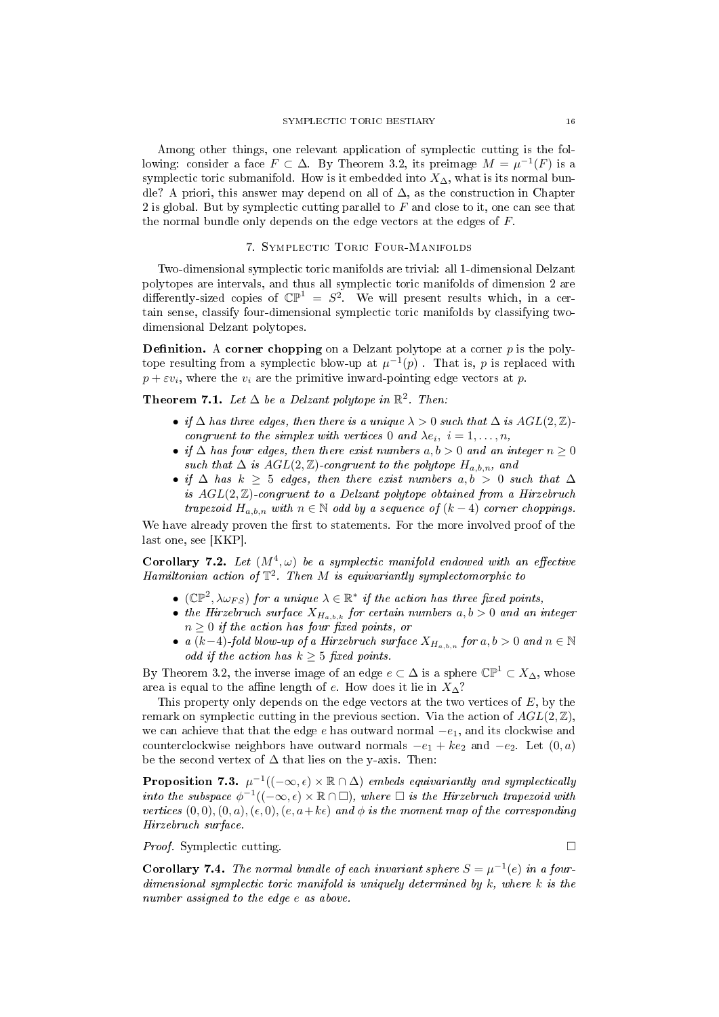Among other things, one relevant application of symplectic cutting is the following: consider a face  $F \subset \Delta$ . By Theorem 3.2, its preimage  $M = \mu^{-1}(F)$  is a symplectic toric submanifold. How is it embedded into  $X_{\Delta}$ , what is its normal bundle? A priori, this answer may depend on all of  $\Delta$ , as the construction in Chapter 2 is global. But by symplectic cutting parallel to  $F$  and close to it, one can see that the normal bundle only depends on the edge vectors at the edges of  $F$ .

### 7. Symplectic Toric Four-Manifolds

Two-dimensional symplectic toric manifolds are trivial: all 1-dimensional Delzant polytopes are intervals, and thus all symplectic toric manifolds of dimension 2 are differently-sized copies of  $\mathbb{CP}^1 = S^2$ . We will present results which, in a certain sense, classify four-dimensional symplectic toric manifolds by classifying twodimensional Delzant polytopes.

**Definition.** A corner chopping on a Delzant polytope at a corner  $p$  is the polytope resulting from a symplectic blow-up at  $\mu^{-1}(p)$  . That is, p is replaced with  $p + \varepsilon v_i$ , where the  $v_i$  are the primitive inward-pointing edge vectors at p.

Theorem 7.1. Let  $\Delta$  be a Delzant polytope in  $\mathbb{R}^2$ . Then:

- if  $\Delta$  has three edges, then there is a unique  $\lambda > 0$  such that  $\Delta$  is  $AGL(2, \mathbb{Z})$ congruent to the simplex with vertices 0 and  $\lambda e_i$ ,  $i = 1, \ldots, n$ ,
- if  $\Delta$  has four edges, then there exist numbers  $a, b > 0$  and an integer  $n \geq 0$ such that  $\Delta$  is  $AGL(2, \mathbb{Z})$ -congruent to the polytope  $H_{a,b,n}$ , and
- if  $\Delta$  has  $k \geq 5$  edges, then there exist numbers  $a, b > 0$  such that  $\Delta$ is  $AGL(2, \mathbb{Z})$ -congruent to a Delzant polytope obtained from a Hirzebruch trapezoid  $H_{a,b,n}$  with  $n \in \mathbb{N}$  odd by a sequence of  $(k-4)$  corner choppings.

We have already proven the first to statements. For the more involved proof of the last one, see [KKP].

Corollary 7.2. Let  $(M^4, \omega)$  be a symplectic manifold endowed with an effective Hamiltonian action of  $\mathbb{T}^2$ . Then M is equivariantly symplectomorphic to

- ( $\mathbb{CP}^2$ ,  $\lambda \omega_{FS}$ ) for a unique  $\lambda \in \mathbb{R}^*$  if the action has three fixed points,
- the Hirzebruch surface  $X_{H_{a,b,k}}$  for certain numbers  $a, b > 0$  and an integer  $n \geq 0$  if the action has four fixed points, or
- a (k-4)-fold blow-up of a Hirzebruch surface  $X_{H_{a,b,n}}$  for  $a, b > 0$  and  $n \in \mathbb{N}$ odd if the action has  $k \geq 5$  fixed points.

By Theorem 3.2, the inverse image of an edge  $e \subset \Delta$  is a sphere  $\mathbb{CP}^1 \subset X_\Delta$ , whose area is equal to the affine length of e. How does it lie in  $X_\Delta$ ?

This property only depends on the edge vectors at the two vertices of  $E$ , by the remark on symplectic cutting in the previous section. Via the action of  $AGL(2, \mathbb{Z})$ , we can achieve that that the edge e has outward normal  $-e_1$ , and its clockwise and counterclockwise neighbors have outward normals  $-e_1 + ke_2$  and  $-e_2$ . Let  $(0, a)$ be the second vertex of  $\Delta$  that lies on the y-axis. Then:

**Proposition 7.3.**  $\mu^{-1}((-\infty, \epsilon) \times \mathbb{R} \cap \Delta)$  embeds equivariantly and symplectically into the subspace  $\phi^{-1}((-\infty, \epsilon) \times \mathbb{R} \cap \Box)$ , where  $\Box$  is the Hirzebruch trapezoid with vertices  $(0, 0), (0, a), (\epsilon, 0), (e, a+k\epsilon)$  and  $\phi$  is the moment map of the corresponding Hirzebruch surface.

*Proof.* Symplectic cutting.

**Corollary 7.4.** The normal bundle of each invariant sphere  $S = \mu^{-1}(e)$  in a fourdimensional symplectic toric manifold is uniquely determined by k, where k is the number assigned to the edge e as above.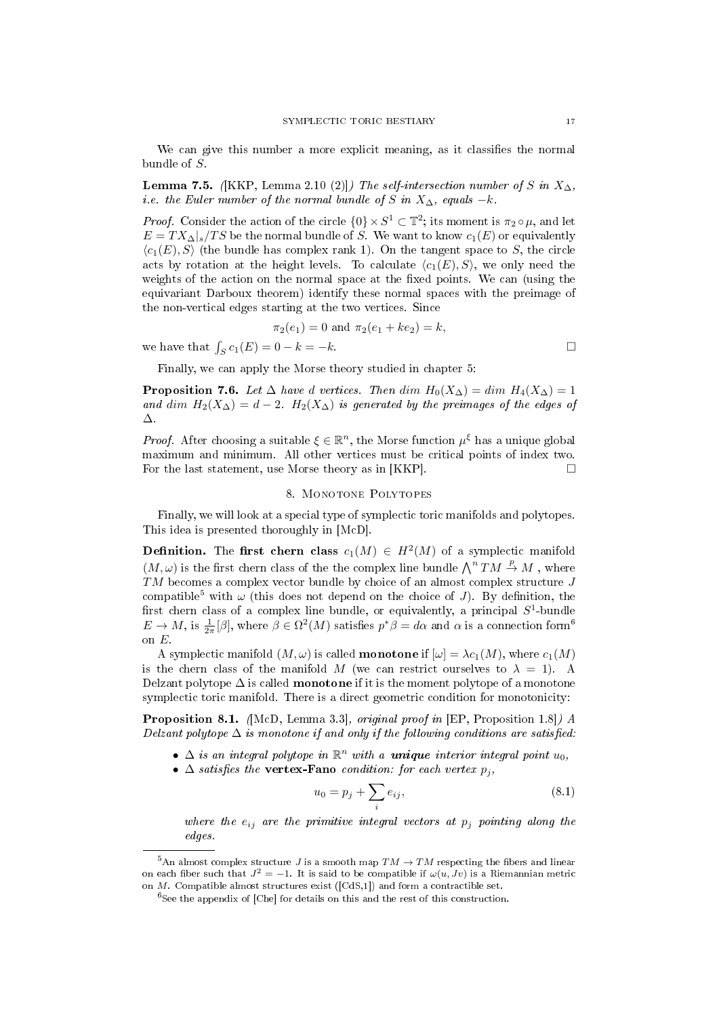We can give this number a more explicit meaning, as it classifies the normal bundle of S.

**Lemma 7.5.** ([KKP, Lemma 2.10 (2)]) The self-intersection number of S in  $X_{\Delta}$ . i.e. the Euler number of the normal bundle of S in  $X_{\Delta}$ , equals  $-k$ .

*Proof.* Consider the action of the circle  $\{0\} \times S^1 \subset \mathbb{T}^2$ ; its moment is  $\pi_2 \circ \mu$ , and let  $E = TX_{\Delta}|_s / TS$  be the normal bundle of S. We want to know  $c_1(E)$  or equivalently  $\langle c_1(E), S \rangle$  (the bundle has complex rank 1). On the tangent space to S, the circle acts by rotation at the height levels. To calculate  $\langle c_1(E), S \rangle$ , we only need the weights of the action on the normal space at the fixed points. We can (using the equivariant Darboux theorem) identify these normal spaces with the preimage of the non-vertical edges starting at the two vertices. Since

$$
\pi_2(e_1) = 0
$$
 and  $\pi_2(e_1 + ke_2) = k$ ,

we have that  $\int_S c_1(E) = 0 - k = -k$ .

Finally, we can apply the Morse theory studied in chapter 5:

**Proposition 7.6.** Let  $\Delta$  have d vertices. Then dim  $H_0(X_\Delta) = \dim H_4(X_\Delta) = 1$ and dim  $H_2(X_\Delta) = d - 2$ .  $H_2(X_\Delta)$  is generated by the preimages of the edges of ∆.

*Proof.* After choosing a suitable  $\xi \in \mathbb{R}^n$ , the Morse function  $\mu^{\xi}$  has a unique global maximum and minimum. All other vertices must be critical points of index two. For the last statement, use Morse theory as in [KKP].  $\Box$ 

### 8. MONOTONE POLYTOPES

Finally, we will look at a special type of symplectic toric manifolds and polytopes. This idea is presented thoroughly in [McD].

**Definition.** The first chern class  $c_1(M) \in H^2(M)$  of a symplectic manifold  $(M, \omega)$  is the first chern class of the the complex line bundle  $\bigwedge^n TM \stackrel{p}{\to} M$ , where TM becomes a complex vector bundle by choice of an almost complex structure J compatible<sup>5</sup> with  $\omega$  (this does not depend on the choice of J). By definition, the first chern class of a complex line bundle, or equivalently, a principal  $S^1$ -bundle  $E \to M$ , is  $\frac{1}{2\pi}[\beta]$ , where  $\beta \in \Omega^2(M)$  satisfies  $p^*\beta = d\alpha$  and  $\alpha$  is a connection form<sup>6</sup> on E.

A symplectic manifold  $(M, \omega)$  is called **monotone** if  $[\omega] = \lambda c_1(M)$ , where  $c_1(M)$ is the chern class of the manifold M (we can restrict ourselves to  $\lambda = 1$ ). A Delzant polytope  $\Delta$  is called **monotone** if it is the moment polytope of a monotone symplectic toric manifold. There is a direct geometric condition for monotonicity:

Proposition 8.1. (McD, Lemma 3.3), original proof in [EP, Proposition 1.8]) A Delzant polytope  $\Delta$  is monotone if and only if the following conditions are satisfied.

- $\Delta$  is an integral polytope in  $\mathbb{R}^n$  with a **unique** interior integral point  $u_0$ ,
- $\Delta$  satisfies the vertex-Fano condition: for each vertex  $p_i$ ,

$$
u_0 = p_j + \sum_i e_{ij},
$$
\n(8.1)

where the  $e_{ij}$  are the primitive integral vectors at  $p_j$  pointing along the edges.

<sup>&</sup>lt;sup>5</sup>An almost complex structure *J* is a smooth map  $TM \to TM$  respecting the fibers and linear on each fiber such that  $J^2 = -1$ . It is said to be compatible if  $\omega(u, Jv)$  is a Riemannian metric

on M. Compatible almost structures exist ([CdS,1]) and form a contractible set. <sup>6</sup>See the appendix of [Che] for details on this and the rest of this construction.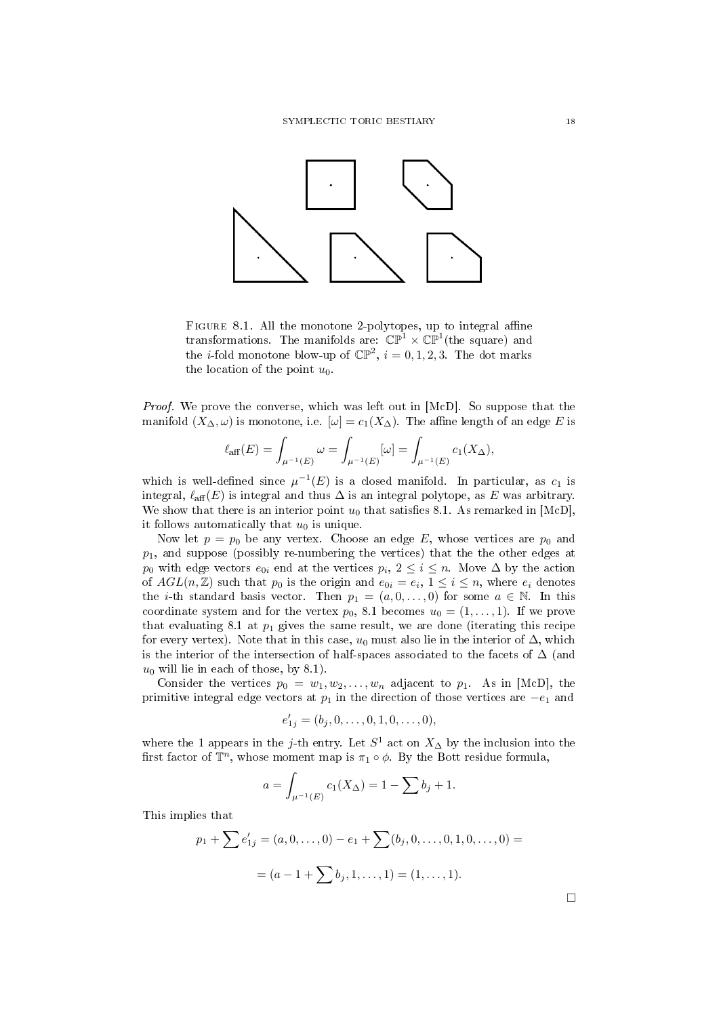

FIGURE 8.1. All the monotone 2-polytopes, up to integral affine transformations. The manifolds are:  $\mathbb{CP}^1 \times \mathbb{CP}^1$ (the square) and the *i*-fold monotone blow-up of  $\mathbb{CP}^2$ ,  $i = 0, 1, 2, 3$ . The dot marks the location of the point  $u_0$ .

Proof. We prove the converse, which was left out in [McD]. So suppose that the manifold  $(X_\Delta, \omega)$  is monotone, i.e.  $[\omega] = c_1(X_\Delta)$ . The affine length of an edge E is

$$
\ell_{\text{aff}}(E) = \int_{\mu^{-1}(E)} \omega = \int_{\mu^{-1}(E)} [\omega] = \int_{\mu^{-1}(E)} c_1(X_{\Delta}),
$$

which is well-defined since  $\mu^{-1}(E)$  is a closed manifold. In particular, as  $c_1$  is integral,  $\ell_{\text{aff}}(E)$  is integral and thus  $\Delta$  is an integral polytope, as E was arbitrary. We show that there is an interior point  $u_0$  that satisfies 8.1. As remarked in [McD], it follows automatically that  $u_0$  is unique.

Now let  $p = p_0$  be any vertex. Choose an edge E, whose vertices are  $p_0$  and  $p_1$ , and suppose (possibly re-numbering the vertices) that the the other edges at  $p_0$  with edge vectors  $e_{0i}$  end at the vertices  $p_i, 2 \leq i \leq n$ . Move  $\Delta$  by the action of  $AGL(n, \mathbb{Z})$  such that  $p_0$  is the origin and  $e_{0i} = e_i$ ,  $1 \leq i \leq n$ , where  $e_i$  denotes the *i*-th standard basis vector. Then  $p_1 = (a, 0, \ldots, 0)$  for some  $a \in \mathbb{N}$ . In this coordinate system and for the vertex  $p_0$ , 8.1 becomes  $u_0 = (1, \ldots, 1)$ . If we prove that evaluating 8.1 at  $p_1$  gives the same result, we are done (iterating this recipe for every vertex). Note that in this case,  $u_0$  must also lie in the interior of  $\Delta$ , which is the interior of the intersection of half-spaces associated to the facets of  $\Delta$  (and  $u_0$  will lie in each of those, by 8.1).

Consider the vertices  $p_0 = w_1, w_2, \ldots, w_n$  adjacent to  $p_1$ . As in [McD], the primitive integral edge vectors at  $p_1$  in the direction of those vertices are  $-e_1$  and

$$
e'_{1j}=(b_j,0,\ldots,0,1,0,\ldots,0),
$$

where the 1 appears in the j-th entry. Let  $S^1$  act on  $X_\Delta$  by the inclusion into the first factor of  $\mathbb{T}^n$ , whose moment map is  $\pi_1 \circ \phi$ . By the Bott residue formula,

$$
a = \int_{\mu^{-1}(E)} c_1(X_{\Delta}) = 1 - \sum b_j + 1.
$$

This implies that

$$
p_1 + \sum e'_{1j} = (a, 0, \dots, 0) - e_1 + \sum (b_j, 0, \dots, 0, 1, 0, \dots, 0) =
$$

$$
= (a - 1 + \sum b_j, 1, \dots, 1) = (1, \dots, 1).
$$